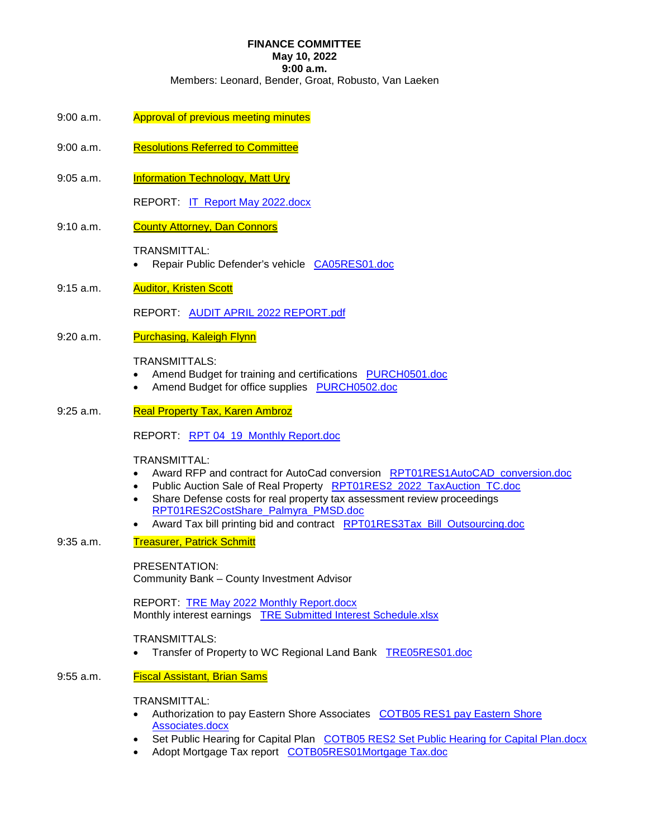# **FINANCE COMMITTEE**

# **May 10, 2022**

**9:00 a.m.** 

Members: Leonard, Bender, Groat, Robusto, Van Laeken

- 9:00 a.m. Approval of previous meeting minutes
- 9:00 a.m. Resolutions Referred to Committee
- 9:05 a.m. **Information Technology, Matt Ury**

REPORT: IT Report May 2022.docx

9:10 a.m. County Attorney, Dan Connors

TRANSMITTAL:

- Repair Public Defender's vehicle CA05RES01.doc
- 9:15 a.m. **Auditor, Kristen Scott**

REPORT: AUDIT APRIL 2022 REPORT.pdf

9:20 a.m. Purchasing, Kaleigh Flynn

### TRANSMITTALS:

- Amend Budget for training and certifications PURCH0501.doc
- Amend Budget for office supplies PURCH0502.doc
- 9:25 a.m. Real Property Tax, Karen Ambroz

REPORT: RPT 04\_19\_Monthly Report.doc

## TRANSMITTAL:

- Award RFP and contract for AutoCad conversion RPT01RES1AutoCAD\_conversion.doc
- Public Auction Sale of Real Property RPT01RES2\_2022\_TaxAuction\_TC.doc
- Share Defense costs for real property tax assessment review proceedings RPT01RES2CostShare\_Palmyra\_PMSD.doc
- Award Tax bill printing bid and contract RPT01RES3Tax\_Bill\_Outsourcing.doc
- 9:35 a.m. Treasurer, Patrick Schmitt

### PRESENTATION:

Community Bank – County Investment Advisor

REPORT: TRE May 2022 Monthly Report.docx Monthly interest earnings TRE Submitted Interest Schedule.xlsx

## TRANSMITTALS:

• Transfer of Property to WC Regional Land Bank TRE05RES01.doc

## 9:55 a.m. Fiscal Assistant, Brian Sams

#### TRANSMITTAL:

- Authorization to pay Eastern Shore Associates COTB05 RES1 pay Eastern Shore Associates.docx
- Set Public Hearing for Capital Plan COTB05 RES2 Set Public Hearing for Capital Plan.docx
- Adopt Mortgage Tax report COTB05RES01Mortgage Tax.doc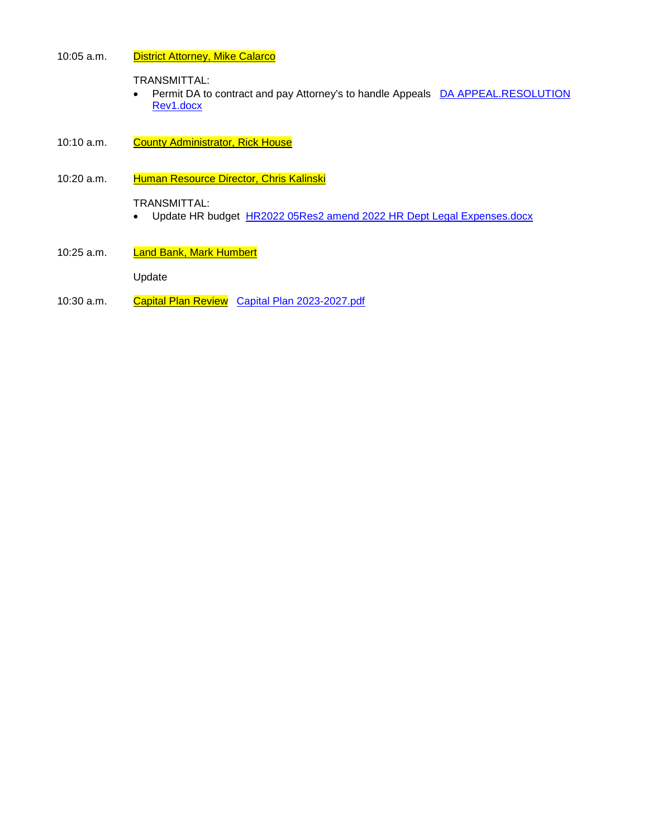### 10:05 a.m. District Attorney, Mike Calarco

TRANSMITTAL:

- Permit DA to contract and pay Attorney's to handle Appeals DA APPEAL.RESOLUTION Rev1.docx
- 10:10 a.m. County Administrator, Rick House

## 10:20 a.m. Human Resource Director, Chris Kalinski

TRANSMITTAL:

- Update HR budget HR2022 05Res2 amend 2022 HR Dept Legal Expenses.docx
- 10:25 a.m. Land Bank, Mark Humbert

Update

10:30 a.m. Capital Plan Review Capital Plan 2023-2027.pdf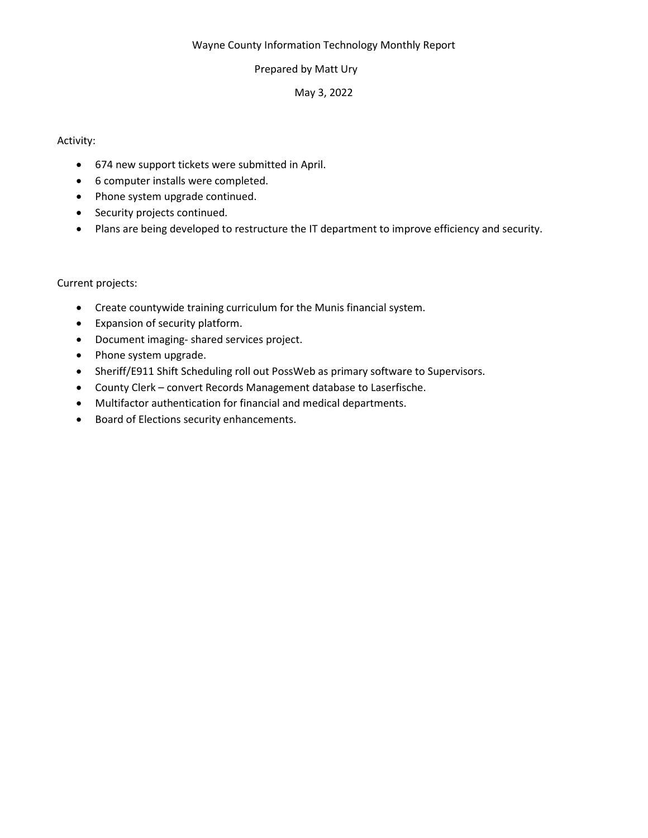## Wayne County Information Technology Monthly Report

## Prepared by Matt Ury

## May 3, 2022

## Activity:

- 674 new support tickets were submitted in April.
- 6 computer installs were completed.
- Phone system upgrade continued.
- Security projects continued.
- Plans are being developed to restructure the IT department to improve efficiency and security.

## Current projects:

- Create countywide training curriculum for the Munis financial system.
- Expansion of security platform.
- Document imaging- shared services project.
- Phone system upgrade.
- Sheriff/E911 Shift Scheduling roll out PossWeb as primary software to Supervisors.
- County Clerk convert Records Management database to Laserfische.
- Multifactor authentication for financial and medical departments.
- Board of Elections security enhancements.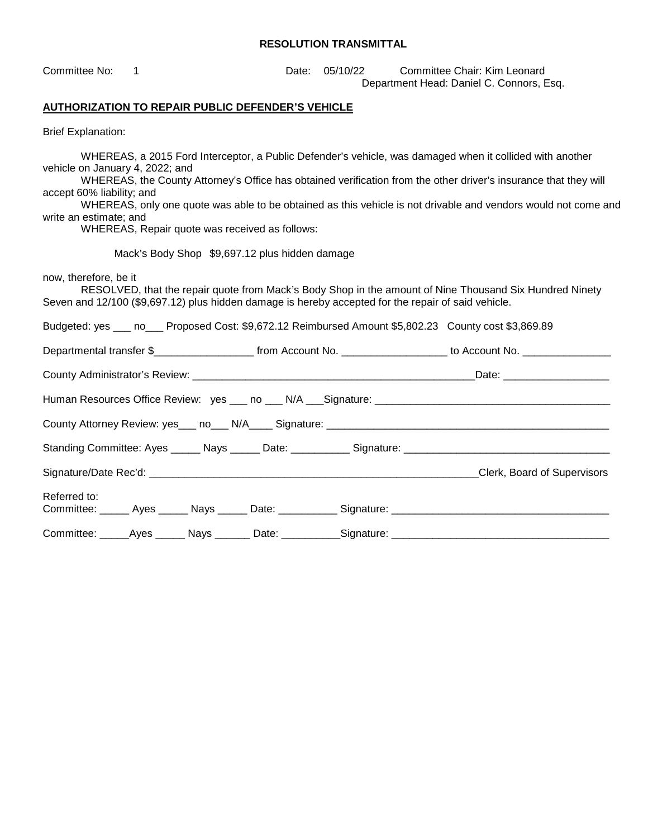| Committee No:                                                                                                                                                                                                                                                                                                                                                                                                                                                                              | 1                                                        |  | Date:                                          | 05/10/22 |  | Committee Chair: Kim Leonard<br>Department Head: Daniel C. Connors, Esq.                                |  |  |
|--------------------------------------------------------------------------------------------------------------------------------------------------------------------------------------------------------------------------------------------------------------------------------------------------------------------------------------------------------------------------------------------------------------------------------------------------------------------------------------------|----------------------------------------------------------|--|------------------------------------------------|----------|--|---------------------------------------------------------------------------------------------------------|--|--|
|                                                                                                                                                                                                                                                                                                                                                                                                                                                                                            | <b>AUTHORIZATION TO REPAIR PUBLIC DEFENDER'S VEHICLE</b> |  |                                                |          |  |                                                                                                         |  |  |
| <b>Brief Explanation:</b>                                                                                                                                                                                                                                                                                                                                                                                                                                                                  |                                                          |  |                                                |          |  |                                                                                                         |  |  |
| WHEREAS, a 2015 Ford Interceptor, a Public Defender's vehicle, was damaged when it collided with another<br>vehicle on January 4, 2022; and<br>WHEREAS, the County Attorney's Office has obtained verification from the other driver's insurance that they will<br>accept 60% liability; and<br>WHEREAS, only one quote was able to be obtained as this vehicle is not drivable and vendors would not come and<br>write an estimate; and<br>WHEREAS, Repair quote was received as follows: |                                                          |  |                                                |          |  |                                                                                                         |  |  |
|                                                                                                                                                                                                                                                                                                                                                                                                                                                                                            |                                                          |  | Mack's Body Shop \$9,697.12 plus hidden damage |          |  |                                                                                                         |  |  |
| now, therefore, be it<br>Seven and 12/100 (\$9,697.12) plus hidden damage is hereby accepted for the repair of said vehicle.                                                                                                                                                                                                                                                                                                                                                               |                                                          |  |                                                |          |  | RESOLVED, that the repair quote from Mack's Body Shop in the amount of Nine Thousand Six Hundred Ninety |  |  |
|                                                                                                                                                                                                                                                                                                                                                                                                                                                                                            |                                                          |  |                                                |          |  | Budgeted: yes ___ no___ Proposed Cost: \$9,672.12 Reimbursed Amount \$5,802.23 County cost \$3,869.89   |  |  |
|                                                                                                                                                                                                                                                                                                                                                                                                                                                                                            |                                                          |  |                                                |          |  |                                                                                                         |  |  |
|                                                                                                                                                                                                                                                                                                                                                                                                                                                                                            |                                                          |  |                                                |          |  |                                                                                                         |  |  |
|                                                                                                                                                                                                                                                                                                                                                                                                                                                                                            |                                                          |  |                                                |          |  |                                                                                                         |  |  |
|                                                                                                                                                                                                                                                                                                                                                                                                                                                                                            |                                                          |  |                                                |          |  |                                                                                                         |  |  |
|                                                                                                                                                                                                                                                                                                                                                                                                                                                                                            |                                                          |  |                                                |          |  |                                                                                                         |  |  |
|                                                                                                                                                                                                                                                                                                                                                                                                                                                                                            |                                                          |  |                                                |          |  |                                                                                                         |  |  |
| Referred to:                                                                                                                                                                                                                                                                                                                                                                                                                                                                               |                                                          |  |                                                |          |  |                                                                                                         |  |  |
|                                                                                                                                                                                                                                                                                                                                                                                                                                                                                            |                                                          |  |                                                |          |  |                                                                                                         |  |  |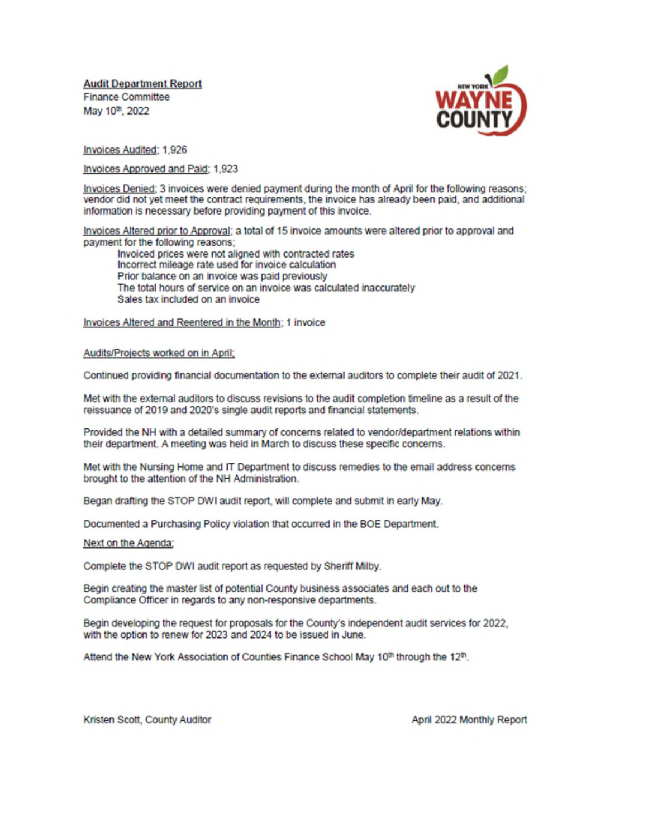**Audit Department Report Finance Committee** May 10th, 2022



Invoices Audited: 1,926

Invoices Approved and Paid; 1,923

Invoices Denied; 3 invoices were denied payment during the month of April for the following reasons; vendor did not yet meet the contract requirements, the invoice has already been paid, and additional information is necessary before providing payment of this invoice.

Invoices Altered prior to Approval; a total of 15 invoice amounts were altered prior to approval and payment for the following reasons:

Invoiced prices were not aligned with contracted rates Incorrect mileage rate used for invoice calculation Prior balance on an invoice was paid previously The total hours of service on an invoice was calculated inaccurately Sales tax included on an invoice

Invoices Altered and Reentered in the Month; 1 invoice

Audits/Projects worked on in April;

Continued providing financial documentation to the external auditors to complete their audit of 2021.

Met with the external auditors to discuss revisions to the audit completion timeline as a result of the reissuance of 2019 and 2020's single audit reports and financial statements.

Provided the NH with a detailed summary of concerns related to vendor/department relations within their department. A meeting was held in March to discuss these specific concerns.

Met with the Nursing Home and IT Department to discuss remedies to the email address concerns brought to the attention of the NH Administration.

Began drafting the STOP DWI audit report, will complete and submit in early May.

Documented a Purchasing Policy violation that occurred in the BOE Department.

Next on the Agenda:

Complete the STOP DWI audit report as requested by Sheriff Milby.

Begin creating the master list of potential County business associates and each out to the Compliance Officer in regards to any non-responsive departments.

Begin developing the request for proposals for the County's independent audit services for 2022, with the option to renew for 2023 and 2024 to be issued in June.

Attend the New York Association of Counties Finance School May 10th through the 12th.

Kristen Scott, County Auditor

April 2022 Monthly Report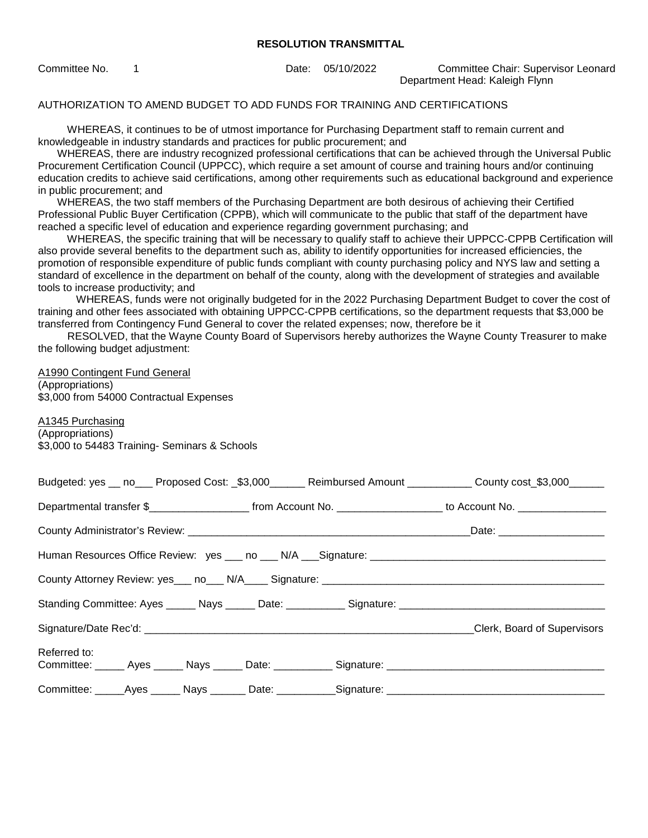Committee No. 1 Date: 05/10/2022 Committee Chair: Supervisor Leonard Department Head: Kaleigh Flynn

#### AUTHORIZATION TO AMEND BUDGET TO ADD FUNDS FOR TRAINING AND CERTIFICATIONS

 WHEREAS, it continues to be of utmost importance for Purchasing Department staff to remain current and knowledgeable in industry standards and practices for public procurement; and

 WHEREAS, there are industry recognized professional certifications that can be achieved through the Universal Public Procurement Certification Council (UPPCC), which require a set amount of course and training hours and/or continuing education credits to achieve said certifications, among other requirements such as educational background and experience in public procurement; and

 WHEREAS, the two staff members of the Purchasing Department are both desirous of achieving their Certified Professional Public Buyer Certification (CPPB), which will communicate to the public that staff of the department have reached a specific level of education and experience regarding government purchasing; and

 WHEREAS, the specific training that will be necessary to qualify staff to achieve their UPPCC-CPPB Certification will also provide several benefits to the department such as, ability to identify opportunities for increased efficiencies, the promotion of responsible expenditure of public funds compliant with county purchasing policy and NYS law and setting a standard of excellence in the department on behalf of the county, along with the development of strategies and available tools to increase productivity; and

WHEREAS, funds were not originally budgeted for in the 2022 Purchasing Department Budget to cover the cost of training and other fees associated with obtaining UPPCC-CPPB certifications, so the department requests that \$3,000 be transferred from Contingency Fund General to cover the related expenses; now, therefore be it

 RESOLVED, that the Wayne County Board of Supervisors hereby authorizes the Wayne County Treasurer to make the following budget adjustment:

#### A1990 Contingent Fund General

(Appropriations) \$3,000 from 54000 Contractual Expenses

A1345 Purchasing (Appropriations) \$3,000 to 54483 Training- Seminars & Schools

|              |  |                                                                                   | Budgeted: yes __ no___ Proposed Cost: _\$3,000______ Reimbursed Amount ___________ County cost_\$3,000______ |
|--------------|--|-----------------------------------------------------------------------------------|--------------------------------------------------------------------------------------------------------------|
|              |  |                                                                                   |                                                                                                              |
|              |  |                                                                                   |                                                                                                              |
|              |  |                                                                                   |                                                                                                              |
|              |  | County Attorney Review: yes___ no___ N/A____ Signature: _________________________ |                                                                                                              |
|              |  |                                                                                   |                                                                                                              |
|              |  |                                                                                   |                                                                                                              |
| Referred to: |  |                                                                                   | Committee: ______ Ayes ______ Nays ______ Date: ___________ Signature: _____________________________         |
|              |  |                                                                                   |                                                                                                              |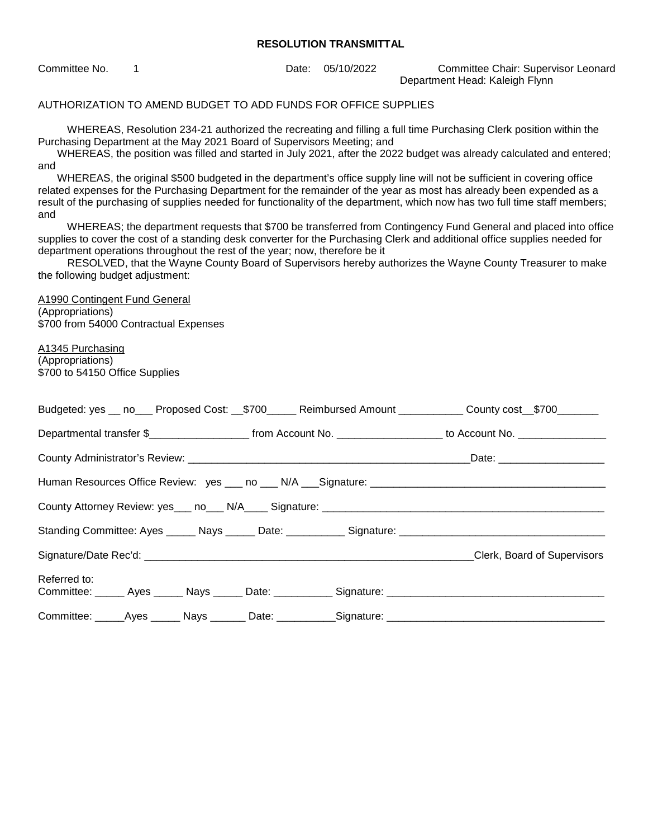Committee No. 1 Date: 05/10/2022 Committee Chair: Supervisor Leonard Department Head: Kaleigh Flynn

AUTHORIZATION TO AMEND BUDGET TO ADD FUNDS FOR OFFICE SUPPLIES

 WHEREAS, Resolution 234-21 authorized the recreating and filling a full time Purchasing Clerk position within the Purchasing Department at the May 2021 Board of Supervisors Meeting; and

 WHEREAS, the position was filled and started in July 2021, after the 2022 budget was already calculated and entered; and

 WHEREAS, the original \$500 budgeted in the department's office supply line will not be sufficient in covering office related expenses for the Purchasing Department for the remainder of the year as most has already been expended as a result of the purchasing of supplies needed for functionality of the department, which now has two full time staff members; and

 WHEREAS; the department requests that \$700 be transferred from Contingency Fund General and placed into office supplies to cover the cost of a standing desk converter for the Purchasing Clerk and additional office supplies needed for department operations throughout the rest of the year; now, therefore be it

 RESOLVED, that the Wayne County Board of Supervisors hereby authorizes the Wayne County Treasurer to make the following budget adjustment:

A1990 Contingent Fund General (Appropriations) \$700 from 54000 Contractual Expenses

A1345 Purchasing (Appropriations) \$700 to 54150 Office Supplies

|                                                                                                                      |  | Budgeted: yes __ no___ Proposed Cost: __\$700_____ Reimbursed Amount ___________ County cost__\$700_______                               |
|----------------------------------------------------------------------------------------------------------------------|--|------------------------------------------------------------------------------------------------------------------------------------------|
|                                                                                                                      |  | Departmental transfer \$________________________________from Account No. ____________________________ to Account No. ___________________ |
|                                                                                                                      |  |                                                                                                                                          |
|                                                                                                                      |  |                                                                                                                                          |
|                                                                                                                      |  |                                                                                                                                          |
|                                                                                                                      |  |                                                                                                                                          |
|                                                                                                                      |  | Clerk, Board of Supervisors                                                                                                              |
| Referred to:<br>Committee: ______ Ayes ______ Nays ______ Date: ___________ Signature: _____________________________ |  |                                                                                                                                          |
| Committee: _____Ayes ______ Nays _______ Date: ___________Signature: _______________________________                 |  |                                                                                                                                          |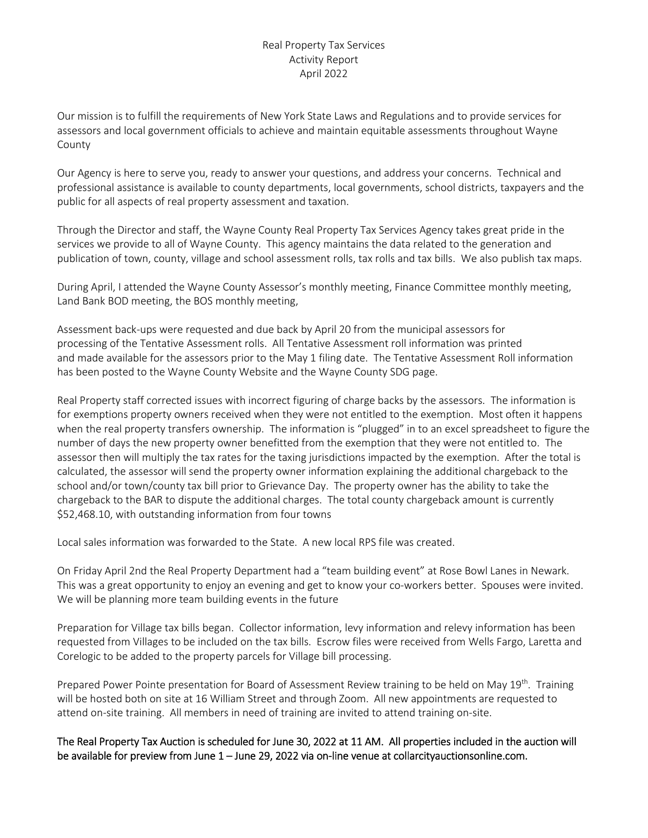## Real Property Tax Services Activity Report April 2022

Our mission is to fulfill the requirements of New York State Laws and Regulations and to provide services for assessors and local government officials to achieve and maintain equitable assessments throughout Wayne County

Our Agency is here to serve you, ready to answer your questions, and address your concerns. Technical and professional assistance is available to county departments, local governments, school districts, taxpayers and the public for all aspects of real property assessment and taxation.

Through the Director and staff, the Wayne County Real Property Tax Services Agency takes great pride in the services we provide to all of Wayne County. This agency maintains the data related to the generation and publication of town, county, village and school assessment rolls, tax rolls and tax bills. We also publish tax maps.

During April, I attended the Wayne County Assessor's monthly meeting, Finance Committee monthly meeting, Land Bank BOD meeting, the BOS monthly meeting,

Assessment back-ups were requested and due back by April 20 from the municipal assessors for processing of the Tentative Assessment rolls. All Tentative Assessment roll information was printed and made available for the assessors prior to the May 1 filing date. The Tentative Assessment Roll information has been posted to the Wayne County Website and the Wayne County SDG page.

Real Property staff corrected issues with incorrect figuring of charge backs by the assessors. The information is for exemptions property owners received when they were not entitled to the exemption. Most often it happens when the real property transfers ownership. The information is "plugged" in to an excel spreadsheet to figure the number of days the new property owner benefitted from the exemption that they were not entitled to. The assessor then will multiply the tax rates for the taxing jurisdictions impacted by the exemption. After the total is calculated, the assessor will send the property owner information explaining the additional chargeback to the school and/or town/county tax bill prior to Grievance Day. The property owner has the ability to take the chargeback to the BAR to dispute the additional charges. The total county chargeback amount is currently \$52,468.10, with outstanding information from four towns

Local sales information was forwarded to the State. A new local RPS file was created.

On Friday April 2nd the Real Property Department had a "team building event" at Rose Bowl Lanes in Newark. This was a great opportunity to enjoy an evening and get to know your co-workers better. Spouses were invited. We will be planning more team building events in the future

Preparation for Village tax bills began. Collector information, levy information and relevy information has been requested from Villages to be included on the tax bills. Escrow files were received from Wells Fargo, Laretta and Corelogic to be added to the property parcels for Village bill processing.

Prepared Power Pointe presentation for Board of Assessment Review training to be held on May 19<sup>th</sup>. Training will be hosted both on site at 16 William Street and through Zoom. All new appointments are requested to attend on-site training. All members in need of training are invited to attend training on-site.

The Real Property Tax Auction is scheduled for June 30, 2022 at 11 AM. All properties included in the auction will be available for preview from June 1 – June 29, 2022 via on-line venue at collarcityauctionsonline.com.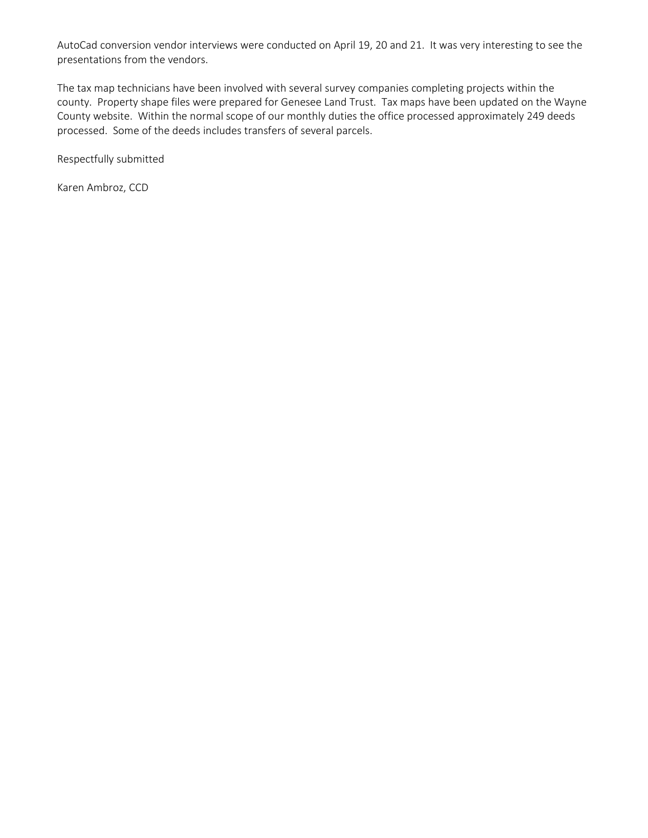AutoCad conversion vendor interviews were conducted on April 19, 20 and 21. It was very interesting to see the presentations from the vendors.

The tax map technicians have been involved with several survey companies completing projects within the county. Property shape files were prepared for Genesee Land Trust. Tax maps have been updated on the Wayne County website. Within the normal scope of our monthly duties the office processed approximately 249 deeds processed. Some of the deeds includes transfers of several parcels.

Respectfully submitted

Karen Ambroz, CCD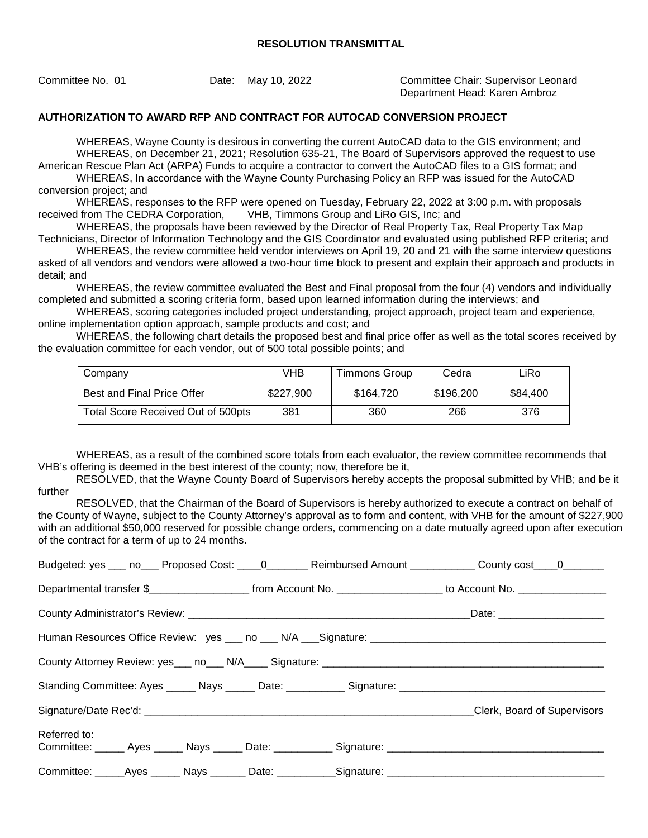Committee No. 01 Date: May 10, 2022 Committee Chair: Supervisor Leonard Department Head: Karen Ambroz

### **AUTHORIZATION TO AWARD RFP AND CONTRACT FOR AUTOCAD CONVERSION PROJECT**

WHEREAS, Wayne County is desirous in converting the current AutoCAD data to the GIS environment; and WHEREAS, on December 21, 2021; Resolution 635-21, The Board of Supervisors approved the request to use American Rescue Plan Act (ARPA) Funds to acquire a contractor to convert the AutoCAD files to a GIS format; and

WHEREAS, In accordance with the Wayne County Purchasing Policy an RFP was issued for the AutoCAD conversion project; and

WHEREAS, responses to the RFP were opened on Tuesday, February 22, 2022 at 3:00 p.m. with proposals received from The CEDRA Corporation, VHB, Timmons Group and LiRo GIS, Inc; and

WHEREAS, the proposals have been reviewed by the Director of Real Property Tax, Real Property Tax Map Technicians, Director of Information Technology and the GIS Coordinator and evaluated using published RFP criteria; and

WHEREAS, the review committee held vendor interviews on April 19, 20 and 21 with the same interview questions asked of all vendors and vendors were allowed a two-hour time block to present and explain their approach and products in detail; and

WHEREAS, the review committee evaluated the Best and Final proposal from the four (4) vendors and individually completed and submitted a scoring criteria form, based upon learned information during the interviews; and

WHEREAS, scoring categories included project understanding, project approach, project team and experience, online implementation option approach, sample products and cost; and

WHEREAS, the following chart details the proposed best and final price offer as well as the total scores received by the evaluation committee for each vendor, out of 500 total possible points; and

| Company                            | VHB       | Timmons Group | Cedra     | LiRo     |
|------------------------------------|-----------|---------------|-----------|----------|
| Best and Final Price Offer         | \$227,900 | \$164.720     | \$196,200 | \$84,400 |
| Total Score Received Out of 500pts | 381       | 360           | 266       | 376      |

WHEREAS, as a result of the combined score totals from each evaluator, the review committee recommends that VHB's offering is deemed in the best interest of the county; now, therefore be it,

RESOLVED, that the Wayne County Board of Supervisors hereby accepts the proposal submitted by VHB; and be it further

RESOLVED, that the Chairman of the Board of Supervisors is hereby authorized to execute a contract on behalf of the County of Wayne, subject to the County Attorney's approval as to form and content, with VHB for the amount of \$227,900 with an additional \$50,000 reserved for possible change orders, commencing on a date mutually agreed upon after execution of the contract for a term of up to 24 months.

|              |  |                                                                                                     | Budgeted: yes ___ no___ Proposed Cost: ____ 0________ Reimbursed Amount ___________ County cost ___ 0________                           |
|--------------|--|-----------------------------------------------------------------------------------------------------|-----------------------------------------------------------------------------------------------------------------------------------------|
|              |  |                                                                                                     | Departmental transfer \$________________________________from Account No. ____________________________ to Account No. __________________ |
|              |  |                                                                                                     |                                                                                                                                         |
|              |  |                                                                                                     |                                                                                                                                         |
|              |  |                                                                                                     |                                                                                                                                         |
|              |  |                                                                                                     |                                                                                                                                         |
|              |  |                                                                                                     | Clerk, Board of Supervisors                                                                                                             |
| Referred to: |  |                                                                                                     |                                                                                                                                         |
|              |  |                                                                                                     | Committee: ______ Ayes ______ Nays ______ Date: ___________ Signature: _____________________________                                    |
|              |  | Committee: _____Ayes ______ Nays _______ Date: ___________Signature: ______________________________ |                                                                                                                                         |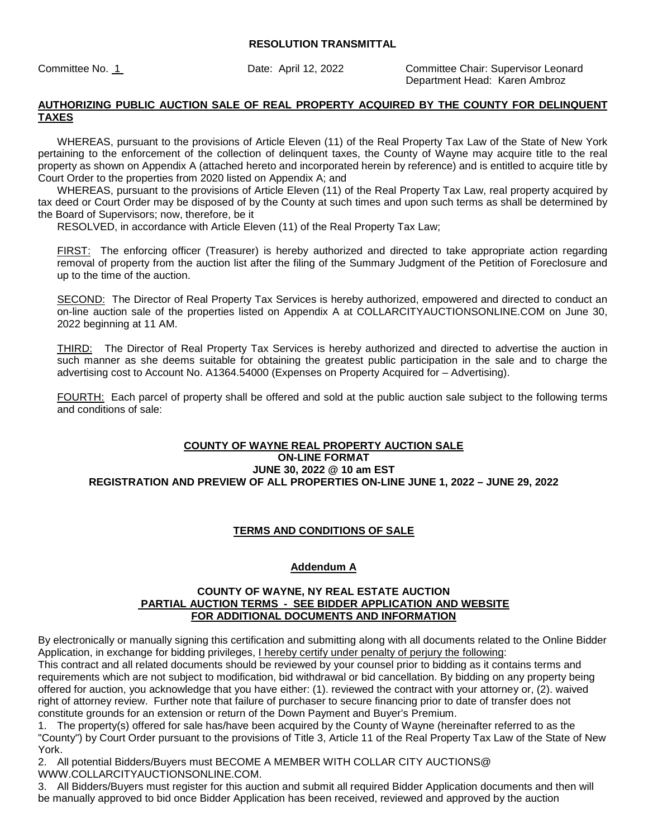Committee No. 1 Date: April 12, 2022 Committee Chair: Supervisor Leonard Department Head: Karen Ambroz

### **AUTHORIZING PUBLIC AUCTION SALE OF REAL PROPERTY ACQUIRED BY THE COUNTY FOR DELINQUENT TAXES**

 WHEREAS, pursuant to the provisions of Article Eleven (11) of the Real Property Tax Law of the State of New York pertaining to the enforcement of the collection of delinquent taxes, the County of Wayne may acquire title to the real property as shown on Appendix A (attached hereto and incorporated herein by reference) and is entitled to acquire title by Court Order to the properties from 2020 listed on Appendix A; and

 WHEREAS, pursuant to the provisions of Article Eleven (11) of the Real Property Tax Law, real property acquired by tax deed or Court Order may be disposed of by the County at such times and upon such terms as shall be determined by the Board of Supervisors; now, therefore, be it

RESOLVED, in accordance with Article Eleven (11) of the Real Property Tax Law;

FIRST: The enforcing officer (Treasurer) is hereby authorized and directed to take appropriate action regarding removal of property from the auction list after the filing of the Summary Judgment of the Petition of Foreclosure and up to the time of the auction.

SECOND: The Director of Real Property Tax Services is hereby authorized, empowered and directed to conduct an on-line auction sale of the properties listed on Appendix A at COLLARCITYAUCTIONSONLINE.COM on June 30, 2022 beginning at 11 AM.

THIRD: The Director of Real Property Tax Services is hereby authorized and directed to advertise the auction in such manner as she deems suitable for obtaining the greatest public participation in the sale and to charge the advertising cost to Account No. A1364.54000 (Expenses on Property Acquired for – Advertising).

FOURTH: Each parcel of property shall be offered and sold at the public auction sale subject to the following terms and conditions of sale:

### **COUNTY OF WAYNE REAL PROPERTY AUCTION SALE ON-LINE FORMAT JUNE 30, 2022 @ 10 am EST REGISTRATION AND PREVIEW OF ALL PROPERTIES ON-LINE JUNE 1, 2022 – JUNE 29, 2022**

## **TERMS AND CONDITIONS OF SALE**

#### **Addendum A**

#### **COUNTY OF WAYNE, NY REAL ESTATE AUCTION PARTIAL AUCTION TERMS - SEE BIDDER APPLICATION AND WEBSITE FOR ADDITIONAL DOCUMENTS AND INFORMATION**

By electronically or manually signing this certification and submitting along with all documents related to the Online Bidder Application, in exchange for bidding privileges, I hereby certify under penalty of perjury the following:

This contract and all related documents should be reviewed by your counsel prior to bidding as it contains terms and requirements which are not subject to modification, bid withdrawal or bid cancellation. By bidding on any property being offered for auction, you acknowledge that you have either: (1). reviewed the contract with your attorney or, (2). waived right of attorney review. Further note that failure of purchaser to secure financing prior to date of transfer does not constitute grounds for an extension or return of the Down Payment and Buyer's Premium.

1. The property(s) offered for sale has/have been acquired by the County of Wayne (hereinafter referred to as the "County") by Court Order pursuant to the provisions of Title 3, Article 11 of the Real Property Tax Law of the State of New York.

2. All potential Bidders/Buyers must BECOME A MEMBER WITH COLLAR CITY AUCTIONS@ WWW.COLLARCITYAUCTIONSONLINE.COM.

3. All Bidders/Buyers must register for this auction and submit all required Bidder Application documents and then will be manually approved to bid once Bidder Application has been received, reviewed and approved by the auction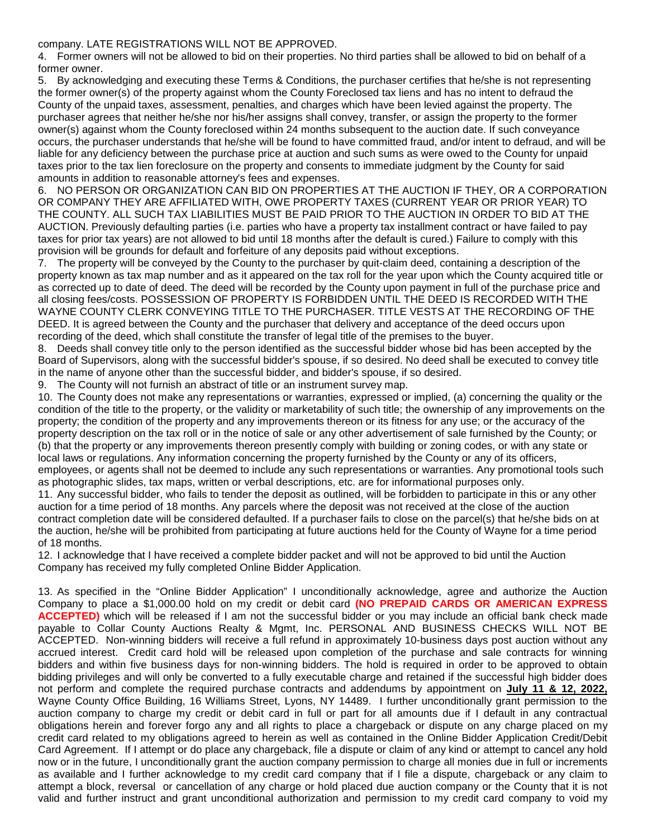#### company. LATE REGISTRATIONS WILL NOT BE APPROVED.

4. Former owners will not be allowed to bid on their properties. No third parties shall be allowed to bid on behalf of a former owner.

5. By acknowledging and executing these Terms & Conditions, the purchaser certifies that he/she is not representing the former owner(s) of the property against whom the County Foreclosed tax liens and has no intent to defraud the County of the unpaid taxes, assessment, penalties, and charges which have been levied against the property. The purchaser agrees that neither he/she nor his/her assigns shall convey, transfer, or assign the property to the former owner(s) against whom the County foreclosed within 24 months subsequent to the auction date. If such conveyance occurs, the purchaser understands that he/she will be found to have committed fraud, and/or intent to defraud, and will be liable for any deficiency between the purchase price at auction and such sums as were owed to the County for unpaid taxes prior to the tax lien foreclosure on the property and consents to immediate judgment by the County for said amounts in addition to reasonable attorney's fees and expenses.

6. NO PERSON OR ORGANIZATION CAN BID ON PROPERTIES AT THE AUCTION IF THEY, OR A CORPORATION OR COMPANY THEY ARE AFFILIATED WITH, OWE PROPERTY TAXES (CURRENT YEAR OR PRIOR YEAR) TO THE COUNTY. ALL SUCH TAX LIABILITIES MUST BE PAID PRIOR TO THE AUCTION IN ORDER TO BID AT THE AUCTION. Previously defaulting parties (i.e. parties who have a property tax installment contract or have failed to pay taxes for prior tax years) are not allowed to bid until 18 months after the default is cured.) Failure to comply with this provision will be grounds for default and forfeiture of any deposits paid without exceptions.

7. The property will be conveyed by the County to the purchaser by quit-claim deed, containing a description of the property known as tax map number and as it appeared on the tax roll for the year upon which the County acquired title or as corrected up to date of deed. The deed will be recorded by the County upon payment in full of the purchase price and all closing fees/costs. POSSESSION OF PROPERTY IS FORBIDDEN UNTIL THE DEED IS RECORDED WITH THE WAYNE COUNTY CLERK CONVEYING TITLE TO THE PURCHASER. TITLE VESTS AT THE RECORDING OF THE DEED. It is agreed between the County and the purchaser that delivery and acceptance of the deed occurs upon recording of the deed, which shall constitute the transfer of legal title of the premises to the buyer.

8. Deeds shall convey title only to the person identified as the successful bidder whose bid has been accepted by the Board of Supervisors, along with the successful bidder's spouse, if so desired. No deed shall be executed to convey title in the name of anyone other than the successful bidder, and bidder's spouse, if so desired.

9. The County will not furnish an abstract of title or an instrument survey map.

10. The County does not make any representations or warranties, expressed or implied, (a) concerning the quality or the condition of the title to the property, or the validity or marketability of such title; the ownership of any improvements on the property; the condition of the property and any improvements thereon or its fitness for any use; or the accuracy of the property description on the tax roll or in the notice of sale or any other advertisement of sale furnished by the County; or (b) that the property or any improvements thereon presently comply with building or zoning codes, or with any state or local laws or regulations. Any information concerning the property furnished by the County or any of its officers, employees, or agents shall not be deemed to include any such representations or warranties. Any promotional tools such as photographic slides, tax maps, written or verbal descriptions, etc. are for informational purposes only.

11. Any successful bidder, who fails to tender the deposit as outlined, will be forbidden to participate in this or any other auction for a time period of 18 months. Any parcels where the deposit was not received at the close of the auction contract completion date will be considered defaulted. If a purchaser fails to close on the parcel(s) that he/she bids on at the auction, he/she will be prohibited from participating at future auctions held for the County of Wayne for a time period of 18 months.

12. I acknowledge that I have received a complete bidder packet and will not be approved to bid until the Auction Company has received my fully completed Online Bidder Application.

13. As specified in the "Online Bidder Application" I unconditionally acknowledge, agree and authorize the Auction Company to place a \$1,000.00 hold on my credit or debit card **(NO PREPAID CARDS OR AMERICAN EXPRESS ACCEPTED)** which will be released if I am not the successful bidder or you may include an official bank check made payable to Collar County Auctions Realty & Mgmt, Inc. PERSONAL AND BUSINESS CHECKS WILL NOT BE ACCEPTED. Non-winning bidders will receive a full refund in approximately 10-business days post auction without any accrued interest. Credit card hold will be released upon completion of the purchase and sale contracts for winning bidders and within five business days for non-winning bidders. The hold is required in order to be approved to obtain bidding privileges and will only be converted to a fully executable charge and retained if the successful high bidder does not perform and complete the required purchase contracts and addendums by appointment on **July 11 & 12, 2022,**  Wayne County Office Building, 16 Williams Street, Lyons, NY 14489. I further unconditionally grant permission to the auction company to charge my credit or debit card in full or part for all amounts due if I default in any contractual obligations herein and forever forgo any and all rights to place a chargeback or dispute on any charge placed on my credit card related to my obligations agreed to herein as well as contained in the Online Bidder Application Credit/Debit Card Agreement. If I attempt or do place any chargeback, file a dispute or claim of any kind or attempt to cancel any hold now or in the future, I unconditionally grant the auction company permission to charge all monies due in full or increments as available and I further acknowledge to my credit card company that if I file a dispute, chargeback or any claim to attempt a block, reversal or cancellation of any charge or hold placed due auction company or the County that it is not valid and further instruct and grant unconditional authorization and permission to my credit card company to void my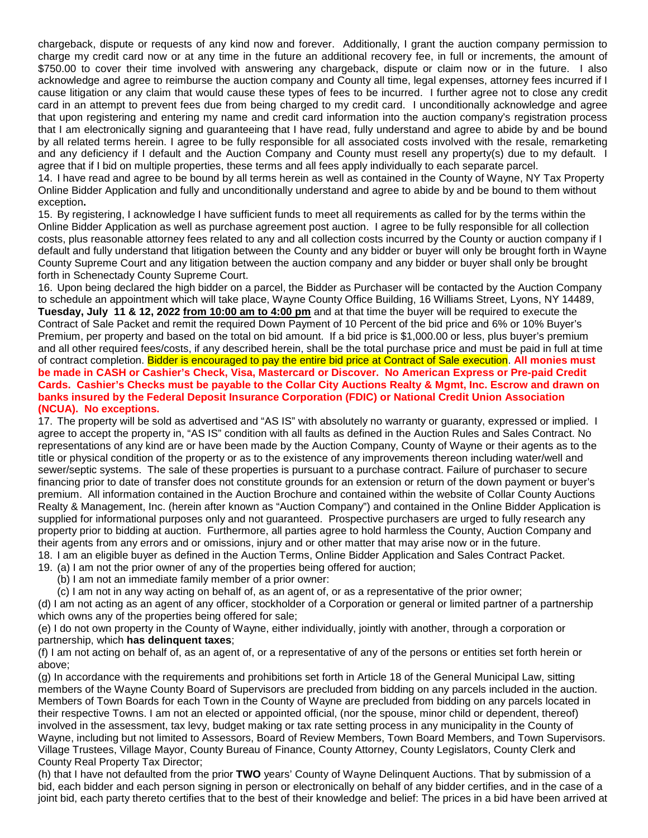chargeback, dispute or requests of any kind now and forever. Additionally, I grant the auction company permission to charge my credit card now or at any time in the future an additional recovery fee, in full or increments, the amount of \$750.00 to cover their time involved with answering any chargeback, dispute or claim now or in the future. I also acknowledge and agree to reimburse the auction company and County all time, legal expenses, attorney fees incurred if I cause litigation or any claim that would cause these types of fees to be incurred. I further agree not to close any credit card in an attempt to prevent fees due from being charged to my credit card. I unconditionally acknowledge and agree that upon registering and entering my name and credit card information into the auction company's registration process that I am electronically signing and guaranteeing that I have read, fully understand and agree to abide by and be bound by all related terms herein. I agree to be fully responsible for all associated costs involved with the resale, remarketing and any deficiency if I default and the Auction Company and County must resell any property(s) due to my default. I agree that if I bid on multiple properties, these terms and all fees apply individually to each separate parcel.

14. I have read and agree to be bound by all terms herein as well as contained in the County of Wayne, NY Tax Property Online Bidder Application and fully and unconditionally understand and agree to abide by and be bound to them without exception**.** 

15. By registering, I acknowledge I have sufficient funds to meet all requirements as called for by the terms within the Online Bidder Application as well as purchase agreement post auction. I agree to be fully responsible for all collection costs, plus reasonable attorney fees related to any and all collection costs incurred by the County or auction company if I default and fully understand that litigation between the County and any bidder or buyer will only be brought forth in Wayne County Supreme Court and any litigation between the auction company and any bidder or buyer shall only be brought forth in Schenectady County Supreme Court.

16. Upon being declared the high bidder on a parcel, the Bidder as Purchaser will be contacted by the Auction Company to schedule an appointment which will take place, Wayne County Office Building, 16 Williams Street, Lyons, NY 14489, **Tuesday, July 11 & 12, 2022 from 10:00 am to 4:00 pm** and at that time the buyer will be required to execute the Contract of Sale Packet and remit the required Down Payment of 10 Percent of the bid price and 6% or 10% Buyer's Premium, per property and based on the total on bid amount. If a bid price is \$1,000.00 or less, plus buyer's premium and all other required fees/costs, if any described herein, shall be the total purchase price and must be paid in full at time of contract completion. Bidder is encouraged to pay the entire bid price at Contract of Sale execution. **All monies must be made in CASH or Cashier's Check, Visa, Mastercard or Discover. No American Express or Pre-paid Credit Cards. Cashier's Checks must be payable to the Collar City Auctions Realty & Mgmt, Inc. Escrow and drawn on banks insured by the Federal Deposit Insurance Corporation (FDIC) or National Credit Union Association (NCUA). No exceptions.** 

17. The property will be sold as advertised and "AS IS" with absolutely no warranty or guaranty, expressed or implied. I agree to accept the property in, "AS IS" condition with all faults as defined in the Auction Rules and Sales Contract. No representations of any kind are or have been made by the Auction Company, County of Wayne or their agents as to the title or physical condition of the property or as to the existence of any improvements thereon including water/well and sewer/septic systems. The sale of these properties is pursuant to a purchase contract. Failure of purchaser to secure financing prior to date of transfer does not constitute grounds for an extension or return of the down payment or buyer's premium. All information contained in the Auction Brochure and contained within the website of Collar County Auctions Realty & Management, Inc. (herein after known as "Auction Company") and contained in the Online Bidder Application is supplied for informational purposes only and not guaranteed. Prospective purchasers are urged to fully research any property prior to bidding at auction. Furthermore, all parties agree to hold harmless the County, Auction Company and their agents from any errors and or omissions, injury and or other matter that may arise now or in the future. 18. I am an eligible buyer as defined in the Auction Terms, Online Bidder Application and Sales Contract Packet.

19. (a) I am not the prior owner of any of the properties being offered for auction;

(b) I am not an immediate family member of a prior owner:

(c) I am not in any way acting on behalf of, as an agent of, or as a representative of the prior owner;

(d) I am not acting as an agent of any officer, stockholder of a Corporation or general or limited partner of a partnership which owns any of the properties being offered for sale;

(e) I do not own property in the County of Wayne, either individually, jointly with another, through a corporation or partnership, which **has delinquent taxes**;

(f) I am not acting on behalf of, as an agent of, or a representative of any of the persons or entities set forth herein or above;

(g) In accordance with the requirements and prohibitions set forth in Article 18 of the General Municipal Law, sitting members of the Wayne County Board of Supervisors are precluded from bidding on any parcels included in the auction. Members of Town Boards for each Town in the County of Wayne are precluded from bidding on any parcels located in their respective Towns. I am not an elected or appointed official, (nor the spouse, minor child or dependent, thereof) involved in the assessment, tax levy, budget making or tax rate setting process in any municipality in the County of Wayne, including but not limited to Assessors, Board of Review Members, Town Board Members, and Town Supervisors. Village Trustees, Village Mayor, County Bureau of Finance, County Attorney, County Legislators, County Clerk and County Real Property Tax Director;

(h) that I have not defaulted from the prior **TWO** years' County of Wayne Delinquent Auctions. That by submission of a bid, each bidder and each person signing in person or electronically on behalf of any bidder certifies, and in the case of a joint bid, each party thereto certifies that to the best of their knowledge and belief: The prices in a bid have been arrived at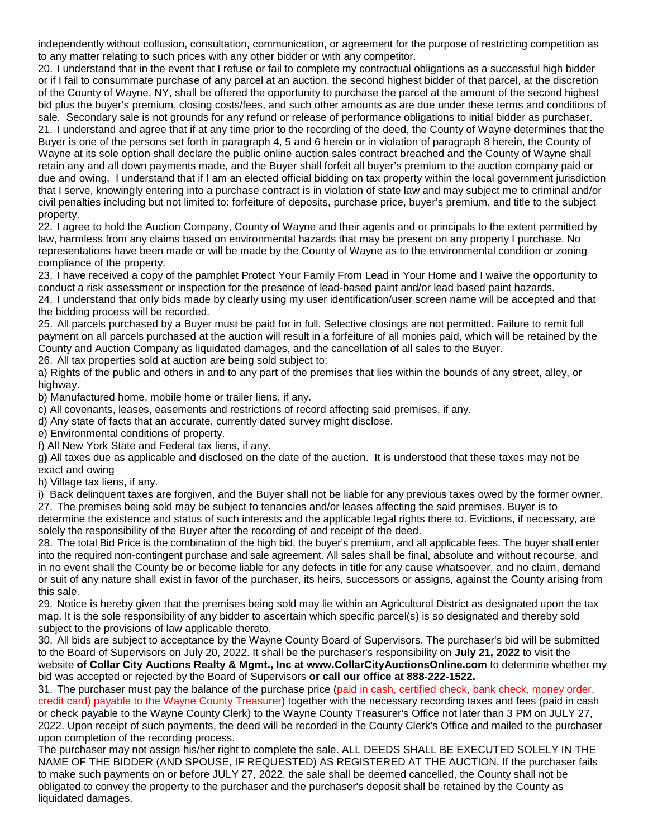independently without collusion, consultation, communication, or agreement for the purpose of restricting competition as to any matter relating to such prices with any other bidder or with any competitor.

20. I understand that in the event that I refuse or fail to complete my contractual obligations as a successful high bidder or if I fail to consummate purchase of any parcel at an auction, the second highest bidder of that parcel, at the discretion of the County of Wayne, NY, shall be offered the opportunity to purchase the parcel at the amount of the second highest bid plus the buyer's premium, closing costs/fees, and such other amounts as are due under these terms and conditions of sale. Secondary sale is not grounds for any refund or release of performance obligations to initial bidder as purchaser. 21. I understand and agree that if at any time prior to the recording of the deed, the County of Wayne determines that the Buyer is one of the persons set forth in paragraph 4, 5 and 6 herein or in violation of paragraph 8 herein, the County of Wayne at its sole option shall declare the public online auction sales contract breached and the County of Wayne shall retain any and all down payments made, and the Buyer shall forfeit all buyer's premium to the auction company paid or due and owing. I understand that if I am an elected official bidding on tax property within the local government jurisdiction that I serve, knowingly entering into a purchase contract is in violation of state law and may subject me to criminal and/or civil penalties including but not limited to: forfeiture of deposits, purchase price, buyer's premium, and title to the subject property.

22. I agree to hold the Auction Company, County of Wayne and their agents and or principals to the extent permitted by law, harmless from any claims based on environmental hazards that may be present on any property I purchase. No representations have been made or will be made by the County of Wayne as to the environmental condition or zoning compliance of the property.

23. I have received a copy of the pamphlet Protect Your Family From Lead in Your Home and I waive the opportunity to conduct a risk assessment or inspection for the presence of lead-based paint and/or lead based paint hazards.

24. I understand that only bids made by clearly using my user identification/user screen name will be accepted and that the bidding process will be recorded.

25. All parcels purchased by a Buyer must be paid for in full. Selective closings are not permitted. Failure to remit full payment on all parcels purchased at the auction will result in a forfeiture of all monies paid, which will be retained by the County and Auction Company as liquidated damages, and the cancellation of all sales to the Buyer.

26. All tax properties sold at auction are being sold subject to:

a) Rights of the public and others in and to any part of the premises that lies within the bounds of any street, alley, or highway.

b) Manufactured home, mobile home or trailer liens, if any.

c) All covenants, leases, easements and restrictions of record affecting said premises, if any.

d) Any state of facts that an accurate, currently dated survey might disclose.

e) Environmental conditions of property.

f) All New York State and Federal tax liens, if any.

g**)** All taxes due as applicable and disclosed on the date of the auction. It is understood that these taxes may not be exact and owing

h) Village tax liens, if any.

i) Back delinquent taxes are forgiven, and the Buyer shall not be liable for any previous taxes owed by the former owner. 27. The premises being sold may be subject to tenancies and/or leases affecting the said premises. Buyer is to determine the existence and status of such interests and the applicable legal rights there to. Evictions, if necessary, are solely the responsibility of the Buyer after the recording of and receipt of the deed.

28. The total Bid Price is the combination of the high bid, the buyer's premium, and all applicable fees. The buyer shall enter into the required non-contingent purchase and sale agreement. All sales shall be final, absolute and without recourse, and in no event shall the County be or become liable for any defects in title for any cause whatsoever, and no claim, demand or suit of any nature shall exist in favor of the purchaser, its heirs, successors or assigns, against the County arising from this sale.

29. Notice is hereby given that the premises being sold may lie within an Agricultural District as designated upon the tax map. It is the sole responsibility of any bidder to ascertain which specific parcel(s) is so designated and thereby sold subject to the provisions of law applicable thereto.

30. All bids are subject to acceptance by the Wayne County Board of Supervisors. The purchaser's bid will be submitted to the Board of Supervisors on July 20, 2022. It shall be the purchaser's responsibility on **July 21, 2022** to visit the website **of Collar City Auctions Realty & Mgmt., Inc at www.CollarCityAuctionsOnline.com** to determine whether my bid was accepted or rejected by the Board of Supervisors **or call our office at 888-222-1522.**

31. The purchaser must pay the balance of the purchase price (paid in cash, certified check, bank check, money order, credit card) payable to the Wayne County Treasurer) together with the necessary recording taxes and fees (paid in cash or check payable to the Wayne County Clerk) to the Wayne County Treasurer's Office not later than 3 PM on JULY 27, 2022. Upon receipt of such payments, the deed will be recorded in the County Clerk's Office and mailed to the purchaser upon completion of the recording process.

The purchaser may not assign his/her right to complete the sale. ALL DEEDS SHALL BE EXECUTED SOLELY IN THE NAME OF THE BIDDER (AND SPOUSE, IF REQUESTED) AS REGISTERED AT THE AUCTION. If the purchaser fails to make such payments on or before JULY 27, 2022, the sale shall be deemed cancelled, the County shall not be obligated to convey the property to the purchaser and the purchaser's deposit shall be retained by the County as liquidated damages.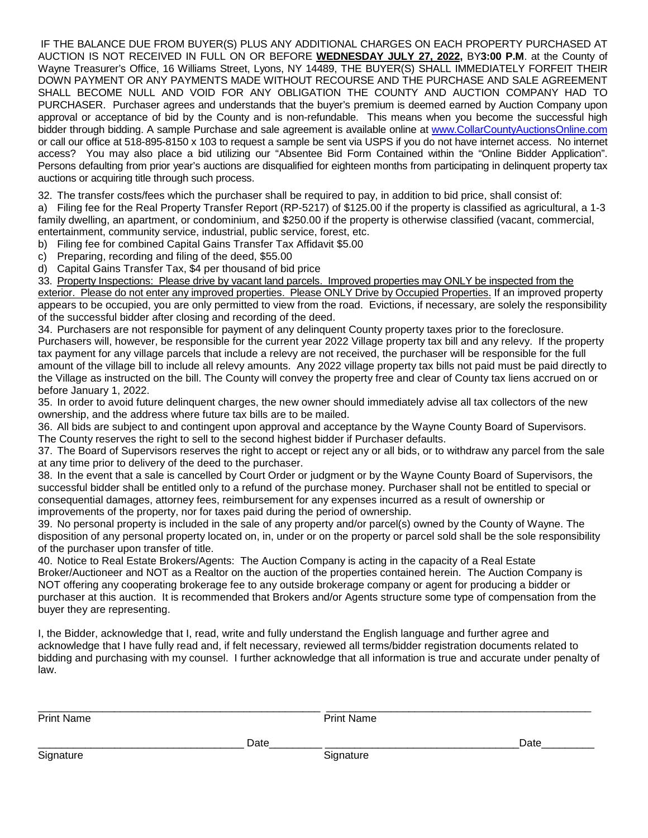IF THE BALANCE DUE FROM BUYER(S) PLUS ANY ADDITIONAL CHARGES ON EACH PROPERTY PURCHASED AT AUCTION IS NOT RECEIVED IN FULL ON OR BEFORE **WEDNESDAY JULY 27, 2022,** BY**3:00 P.M**. at the County of Wayne Treasurer's Office, 16 Williams Street, Lyons, NY 14489, THE BUYER(S) SHALL IMMEDIATELY FORFEIT THEIR DOWN PAYMENT OR ANY PAYMENTS MADE WITHOUT RECOURSE AND THE PURCHASE AND SALE AGREEMENT SHALL BECOME NULL AND VOID FOR ANY OBLIGATION THE COUNTY AND AUCTION COMPANY HAD TO PURCHASER. Purchaser agrees and understands that the buyer's premium is deemed earned by Auction Company upon approval or acceptance of bid by the County and is non-refundable. This means when you become the successful high bidder through bidding. A sample Purchase and sale agreement is available online at [www.CollarCountyAuctionsOnline.com](http://www.collarcityauctionsonline.com/) or call our office at 518-895-8150 x 103 to request a sample be sent via USPS if you do not have internet access. No internet access? You may also place a bid utilizing our "Absentee Bid Form Contained within the "Online Bidder Application". Persons defaulting from prior year's auctions are disqualified for eighteen months from participating in delinquent property tax auctions or acquiring title through such process.

32. The transfer costs/fees which the purchaser shall be required to pay, in addition to bid price, shall consist of:

a) Filing fee for the Real Property Transfer Report (RP-5217) of \$125.00 if the property is classified as agricultural, a 1-3 family dwelling, an apartment, or condominium, and \$250.00 if the property is otherwise classified (vacant, commercial, entertainment, community service, industrial, public service, forest, etc.

b) Filing fee for combined Capital Gains Transfer Tax Affidavit \$5.00

c) Preparing, recording and filing of the deed, \$55.00

d) Capital Gains Transfer Tax, \$4 per thousand of bid price

33. Property Inspections: Please drive by vacant land parcels. Improved properties may ONLY be inspected from the

exterior. Please do not enter any improved properties. Please ONLY Drive by Occupied Properties. If an improved property appears to be occupied, you are only permitted to view from the road. Evictions, if necessary, are solely the responsibility of the successful bidder after closing and recording of the deed.

34. Purchasers are not responsible for payment of any delinquent County property taxes prior to the foreclosure. Purchasers will, however, be responsible for the current year 2022 Village property tax bill and any relevy. If the property tax payment for any village parcels that include a relevy are not received, the purchaser will be responsible for the full amount of the village bill to include all relevy amounts. Any 2022 village property tax bills not paid must be paid directly to the Village as instructed on the bill. The County will convey the property free and clear of County tax liens accrued on or before January 1, 2022.

35. In order to avoid future delinquent charges, the new owner should immediately advise all tax collectors of the new ownership, and the address where future tax bills are to be mailed.

36. All bids are subject to and contingent upon approval and acceptance by the Wayne County Board of Supervisors. The County reserves the right to sell to the second highest bidder if Purchaser defaults.

37. The Board of Supervisors reserves the right to accept or reject any or all bids, or to withdraw any parcel from the sale at any time prior to delivery of the deed to the purchaser.

38. In the event that a sale is cancelled by Court Order or judgment or by the Wayne County Board of Supervisors, the successful bidder shall be entitled only to a refund of the purchase money. Purchaser shall not be entitled to special or consequential damages, attorney fees, reimbursement for any expenses incurred as a result of ownership or improvements of the property, nor for taxes paid during the period of ownership.

39. No personal property is included in the sale of any property and/or parcel(s) owned by the County of Wayne. The disposition of any personal property located on, in, under or on the property or parcel sold shall be the sole responsibility of the purchaser upon transfer of title.

40. Notice to Real Estate Brokers/Agents: The Auction Company is acting in the capacity of a Real Estate Broker/Auctioneer and NOT as a Realtor on the auction of the properties contained herein. The Auction Company is NOT offering any cooperating brokerage fee to any outside brokerage company or agent for producing a bidder or purchaser at this auction. It is recommended that Brokers and/or Agents structure some type of compensation from the buyer they are representing.

I, the Bidder, acknowledge that I, read, write and fully understand the English language and further agree and acknowledge that I have fully read and, if felt necessary, reviewed all terms/bidder registration documents related to bidding and purchasing with my counsel. I further acknowledge that all information is true and accurate under penalty of law.

| <b>Print Name</b> |      | <b>Print Name</b> |      |
|-------------------|------|-------------------|------|
|                   | Date |                   | Date |
| Signature         |      | Signature         |      |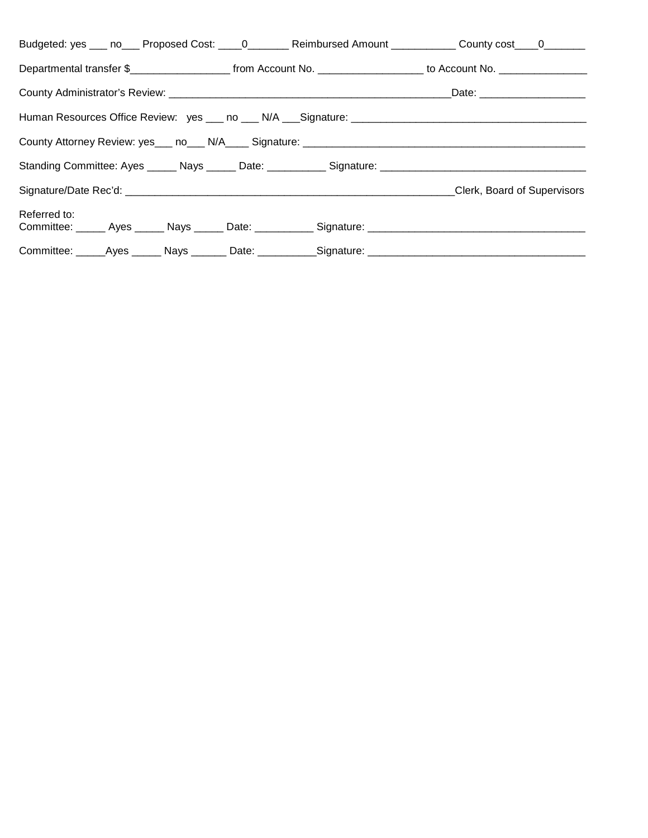| Budgeted: yes ___ no___ Proposed Cost: ____0_______ Reimbursed Amount ___________ County cost ___0_______                                |  |                             |
|------------------------------------------------------------------------------------------------------------------------------------------|--|-----------------------------|
| Departmental transfer \$________________________________from Account No. ____________________________ to Account No. ___________________ |  |                             |
|                                                                                                                                          |  |                             |
|                                                                                                                                          |  |                             |
|                                                                                                                                          |  |                             |
|                                                                                                                                          |  |                             |
|                                                                                                                                          |  | Clerk, Board of Supervisors |
| Referred to:<br>Committee: ______ Ayes ______ Nays ______ Date: ___________ Signature: _____________________________                     |  |                             |
| Committee: ______Ayes ______ Nays _______ Date: ___________Signature: ______________________________                                     |  |                             |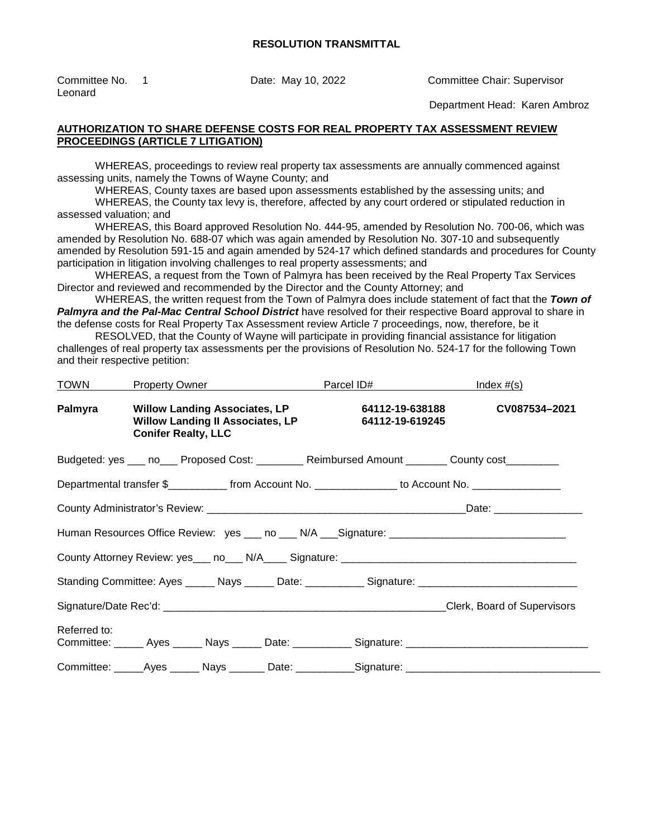Leonard

Committee No. 1 Date: May 10, 2022 Committee Chair: Supervisor

Department Head: Karen Ambroz

### **AUTHORIZATION TO SHARE DEFENSE COSTS FOR REAL PROPERTY TAX ASSESSMENT REVIEW PROCEEDINGS (ARTICLE 7 LITIGATION)**

WHEREAS, proceedings to review real property tax assessments are annually commenced against assessing units, namely the Towns of Wayne County; and

WHEREAS, County taxes are based upon assessments established by the assessing units; and

WHEREAS, the County tax levy is, therefore, affected by any court ordered or stipulated reduction in assessed valuation; and

WHEREAS, this Board approved Resolution No. 444-95, amended by Resolution No. 700-06, which was amended by Resolution No. 688-07 which was again amended by Resolution No. 307-10 and subsequently amended by Resolution 591-15 and again amended by 524-17 which defined standards and procedures for County participation in litigation involving challenges to real property assessments; and

WHEREAS, a request from the Town of Palmyra has been received by the Real Property Tax Services Director and reviewed and recommended by the Director and the County Attorney; and

WHEREAS, the written request from the Town of Palmyra does include statement of fact that the *Town of Palmyra and the Pal-Mac Central School District* have resolved for their respective Board approval to share in the defense costs for Real Property Tax Assessment review Article 7 proceedings, now, therefore, be it

RESOLVED, that the County of Wayne will participate in providing financial assistance for litigation challenges of real property tax assessments per the provisions of Resolution No. 524-17 for the following Town and their respective petition:

| TOWN         |                            |                                         | <b>Property Owner Example 2014</b>   |                                    | Index $#(s)$                                                                                          |
|--------------|----------------------------|-----------------------------------------|--------------------------------------|------------------------------------|-------------------------------------------------------------------------------------------------------|
| Palmyra      | <b>Conifer Realty, LLC</b> | <b>Willow Landing II Associates, LP</b> | <b>Willow Landing Associates, LP</b> | 64112-19-638188<br>64112-19-619245 | CV087534-2021                                                                                         |
|              |                            |                                         |                                      |                                    | Budgeted: yes ___ no___ Proposed Cost: ________ Reimbursed Amount _______ County cost________         |
|              |                            |                                         |                                      |                                    | Departmental transfer \$______________ from Account No. _______________ to Account No. ______________ |
|              |                            |                                         |                                      |                                    | Date: ________________                                                                                |
|              |                            |                                         |                                      |                                    |                                                                                                       |
|              |                            |                                         |                                      |                                    |                                                                                                       |
|              |                            |                                         |                                      |                                    | Standing Committee: Ayes ______ Nays ______ Date: ___________ Signature: ___________________________  |
|              |                            |                                         |                                      |                                    |                                                                                                       |
| Referred to: |                            |                                         |                                      |                                    | Committee: ______ Ayes ______ Nays ______ Date: ___________ Signature: _____________________________  |
|              |                            |                                         |                                      |                                    | Committee: ______Ayes _______ Nays ________ Date: ___________Signature: ____________________________  |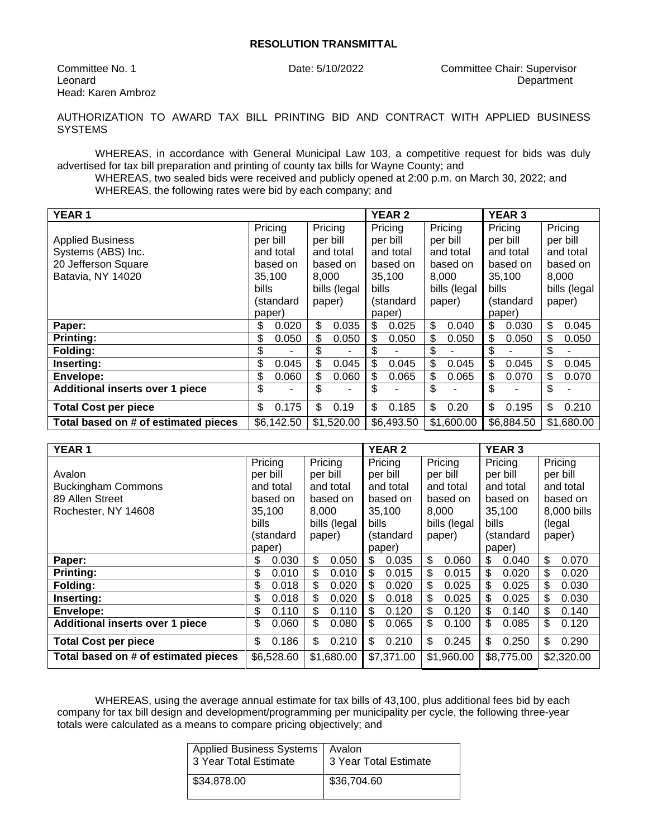Head: Karen Ambroz

Committee No. 1 Date: 5/10/2022 Committee Chair: Supervisor Leonard **Department** 

AUTHORIZATION TO AWARD TAX BILL PRINTING BID AND CONTRACT WITH APPLIED BUSINESS **SYSTEMS** 

WHEREAS, in accordance with General Municipal Law 103, a competitive request for bids was duly advertised for tax bill preparation and printing of county tax bills for Wayne County; and

WHEREAS, two sealed bids were received and publicly opened at 2:00 p.m. on March 30, 2022; and WHEREAS, the following rates were bid by each company; and

| <b>YEAR1</b>                           |              |              | <b>YEAR 2</b><br><b>YEAR 3</b> |              |              |
|----------------------------------------|--------------|--------------|--------------------------------|--------------|--------------|
|                                        | Pricing      | Pricing      | Pricing<br>Pricing             | Pricing      | Pricing      |
| <b>Applied Business</b>                | per bill     | per bill     | per bill<br>per bill           | per bill     | per bill     |
| Systems (ABS) Inc.                     | and total    | and total    | and total<br>and total         | and total    | and total    |
| 20 Jefferson Square                    | based on     | based on     | based on<br>based on           | based on     | based on     |
| Batavia, NY 14020                      | 35,100       | 8,000        | 35,100<br>8,000                | 35,100       | 8,000        |
|                                        | <b>bills</b> | bills (legal | <b>bills</b><br>bills (legal   | <b>bills</b> | bills (legal |
|                                        | (standard    | paper)       | (standard<br>paper)            | (standard    | paper)       |
|                                        | paper)       |              | paper)                         | paper)       |              |
| Paper:                                 | 0.020<br>\$  | \$<br>0.035  | \$<br>\$<br>0.025<br>0.040     | \$<br>0.030  | \$<br>0.045  |
| <b>Printing:</b>                       | \$<br>0.050  | \$<br>0.050  | \$<br>\$<br>0.050<br>0.050     | \$<br>0.050  | \$<br>0.050  |
| Folding:                               | \$           | \$           | \$<br>\$                       | \$           | \$           |
| Inserting:                             | \$<br>0.045  | \$<br>0.045  | \$<br>\$<br>0.045<br>0.045     | \$<br>0.045  | \$<br>0.045  |
| <b>Envelope:</b>                       | \$<br>0.060  | \$<br>0.060  | \$<br>\$<br>0.065<br>0.065     | \$<br>0.070  | \$<br>0.070  |
| <b>Additional inserts over 1 piece</b> | \$<br>-      | \$<br>۰      | \$<br>\$                       | \$<br>۰      | \$           |
| <b>Total Cost per piece</b>            | \$<br>0.175  | \$<br>0.19   | \$<br>\$<br>0.185<br>0.20      | \$<br>0.195  | \$<br>0.210  |
| Total based on # of estimated pieces   | \$6,142.50   | \$1,520.00   | \$6,493.50<br>\$1,600.00       | \$6,884.50   | \$1,680.00   |

| <b>YEAR 1</b>                          |              |              | <b>YEAR 2</b> |              | <b>YEAR 3</b> |              |
|----------------------------------------|--------------|--------------|---------------|--------------|---------------|--------------|
|                                        | Pricing      | Pricing      | Pricing       | Pricing      | Pricing       | Pricing      |
| Avalon                                 | per bill     | per bill     | per bill      | per bill     | per bill      | per bill     |
| <b>Buckingham Commons</b>              | and total    | and total    | and total     | and total    | and total     | and total    |
| 89 Allen Street                        | based on     | based on     | based on      | based on     | based on      | based on     |
| Rochester, NY 14608                    | 35,100       | 8,000        | 35,100        | 8,000        | 35,100        | 8,000 bills  |
|                                        | <b>bills</b> | bills (legal | <b>bills</b>  | bills (legal | <b>bills</b>  | (legal       |
|                                        | (standard    | paper)       | (standard     | paper)       | (standard     | paper)       |
|                                        | paper)       |              | paper)        |              | paper)        |              |
| Paper:                                 | \$<br>0.030  | \$<br>0.050  | \$<br>0.035   | \$<br>0.060  | \$<br>0.040   | \$<br>0.070  |
| <b>Printing:</b>                       | \$<br>0.010  | \$<br>0.010  | \$<br>0.015   | \$<br>0.015  | \$<br>0.020   | \$<br>0.020  |
| Folding:                               | \$<br>0.018  | \$<br>0.020  | \$<br>0.020   | \$<br>0.025  | \$<br>0.025   | \$<br>0.030  |
| Inserting:                             | \$<br>0.018  | \$<br>0.020  | \$<br>0.018   | \$<br>0.025  | \$<br>0.025   | \$.<br>0.030 |
| Envelope:                              | \$<br>0.110  | \$<br>0.110  | \$<br>0.120   | \$<br>0.120  | \$<br>0.140   | \$<br>0.140  |
| <b>Additional inserts over 1 piece</b> | \$<br>0.060  | \$<br>0.080  | \$<br>0.065   | \$<br>0.100  | \$<br>0.085   | \$<br>0.120  |
| <b>Total Cost per piece</b>            | \$<br>0.186  | \$<br>0.210  | \$<br>0.210   | \$<br>0.245  | \$<br>0.250   | \$<br>0.290  |
| Total based on # of estimated pieces   | \$6,528.60   | \$1,680.00   | \$7,371.00    | \$1,960.00   | \$8,775.00    | \$2,320.00   |

WHEREAS, using the average annual estimate for tax bills of 43,100, plus additional fees bid by each company for tax bill design and development/programming per municipality per cycle, the following three-year totals were calculated as a means to compare pricing objectively; and

| Applied Business Systems   Avalon<br>3 Year Total Estimate | 3 Year Total Estimate |
|------------------------------------------------------------|-----------------------|
| \$34,878,00                                                | \$36,704.60           |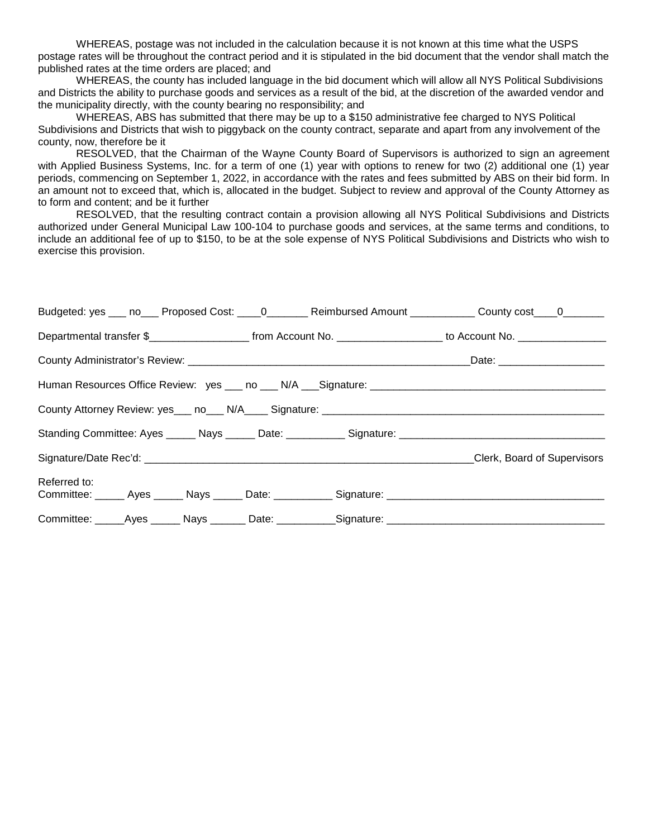WHEREAS, postage was not included in the calculation because it is not known at this time what the USPS postage rates will be throughout the contract period and it is stipulated in the bid document that the vendor shall match the published rates at the time orders are placed; and

WHEREAS, the county has included language in the bid document which will allow all NYS Political Subdivisions and Districts the ability to purchase goods and services as a result of the bid, at the discretion of the awarded vendor and the municipality directly, with the county bearing no responsibility; and

WHEREAS, ABS has submitted that there may be up to a \$150 administrative fee charged to NYS Political Subdivisions and Districts that wish to piggyback on the county contract, separate and apart from any involvement of the county, now, therefore be it

RESOLVED, that the Chairman of the Wayne County Board of Supervisors is authorized to sign an agreement with Applied Business Systems, Inc. for a term of one (1) year with options to renew for two (2) additional one (1) year periods, commencing on September 1, 2022, in accordance with the rates and fees submitted by ABS on their bid form. In an amount not to exceed that, which is, allocated in the budget. Subject to review and approval of the County Attorney as to form and content; and be it further

RESOLVED, that the resulting contract contain a provision allowing all NYS Political Subdivisions and Districts authorized under General Municipal Law 100-104 to purchase goods and services, at the same terms and conditions, to include an additional fee of up to \$150, to be at the sole expense of NYS Political Subdivisions and Districts who wish to exercise this provision.

| Budgeted: yes ___ no___ Proposed Cost: ____0_______ Reimbursed Amount ___________ County cost ___0_______             |  |  |
|-----------------------------------------------------------------------------------------------------------------------|--|--|
| Departmental transfer \$________________________ from Account No. ____________________ to Account No. _______________ |  |  |
|                                                                                                                       |  |  |
|                                                                                                                       |  |  |
|                                                                                                                       |  |  |
|                                                                                                                       |  |  |
|                                                                                                                       |  |  |
| Referred to:<br>Committee: ______ Ayes ______ Nays ______ Date: ___________ Signature: _____________________________  |  |  |
|                                                                                                                       |  |  |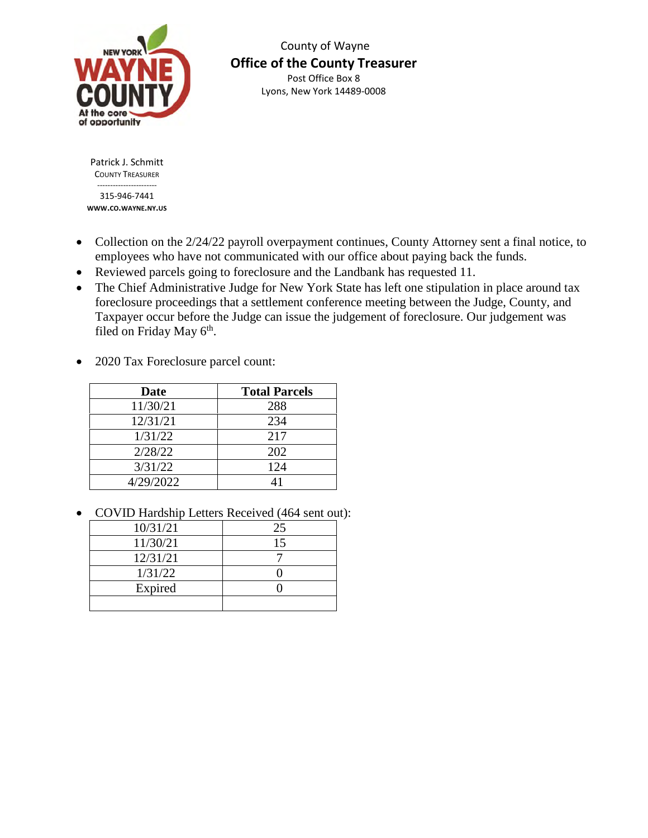

 County of Wayne **Office of the County Treasurer**  Post Office Box 8 Lyons, New York 14489-0008

Patrick J. Schmitt COUNTY TREASURER -----------------------

315-946-7441 **WWW.CO.WAYNE.NY.US**

- Collection on the 2/24/22 payroll overpayment continues, County Attorney sent a final notice, to employees who have not communicated with our office about paying back the funds.
- Reviewed parcels going to foreclosure and the Landbank has requested 11.
- The Chief Administrative Judge for New York State has left one stipulation in place around tax foreclosure proceedings that a settlement conference meeting between the Judge, County, and Taxpayer occur before the Judge can issue the judgement of foreclosure. Our judgement was filed on Friday May 6<sup>th</sup>.
- 2020 Tax Foreclosure parcel count:

| Date      | <b>Total Parcels</b> |
|-----------|----------------------|
| 11/30/21  | 288                  |
| 12/31/21  | 234                  |
| 1/31/22   | 217                  |
| 2/28/22   | 202                  |
| 3/31/22   | 124                  |
| 4/29/2022 |                      |

• COVID Hardship Letters Received (464 sent out):

| 10/31/21 | 25 |
|----------|----|
| 11/30/21 | 15 |
| 12/31/21 |    |
| 1/31/22  |    |
| Expired  |    |
|          |    |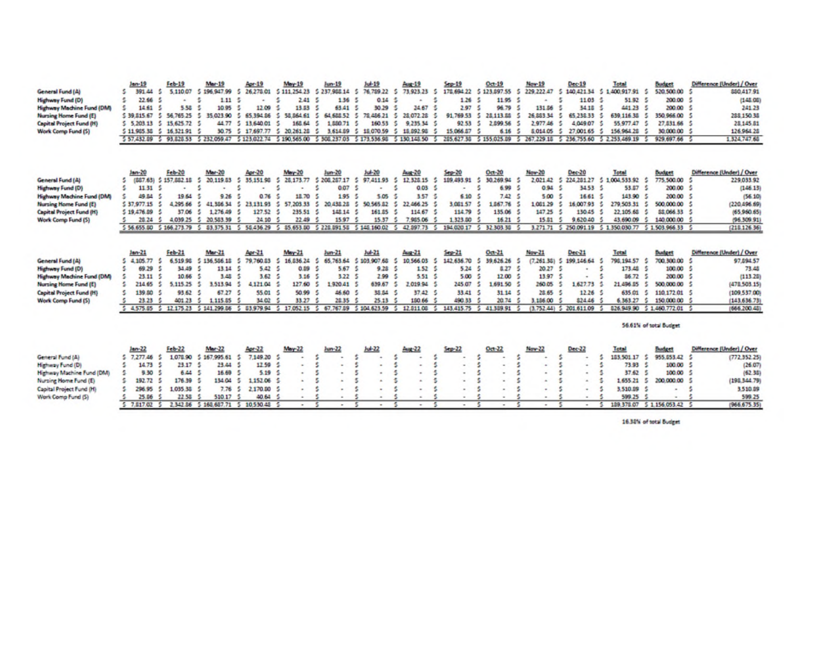| General Fund (A)<br><b>Highway Fund (D)</b><br><b>Highway Machine Fund (DM)</b><br>Nursing Home Fund (E)<br><b>Capital Project Fund (H)</b><br>Work Comp Fund (5)        | $len-19$<br>391.44<br>s<br>s<br>素<br>22.66<br>s<br>14.61<br>\$39,815.67<br>5<br>5.203.13<br>s.<br>5 11 905 30<br>5 57,432.09 5 93,828.53 5 232,059.47 | $Fcb-19$<br>5,110.07<br>5.58<br>56.765.25<br>15 625 72 5<br>$5$ 16, 321 91             | Mar-19<br>\$196,947.99<br>1.11<br>10.95<br>5<br>35.023.90<br>44.77                                 | Apr-19<br>26,278.01<br>s<br>12.09<br>s.<br>65 394 86<br>3<br>13,640.01<br>30.75 5 17.697.77 | May-19<br>5 111 254 23 5 237 988 14<br>2.41<br>13.53<br>s.<br>58,864.61<br>s.<br>168.64<br>5 20, 261 28<br>5 123 022 74 5 190 565 00 5 308 237 03 5 173 536 98 | lun-19<br>136<br>5<br>63.41<br>5<br>64<br>688.52<br>s<br>1,880.71<br>s<br>3 614 89       | $Ju+19$<br>76,789.22<br>$\sim$<br>0.14<br>$\sim$<br>30.29<br>з.<br>78.486.21<br>s.<br>160.53<br>$\sim$<br>15,070.59 | Aug-19<br>73 923 23<br>s<br>34.67<br>s<br>28.072.28<br>s.<br>9 235 34<br>s.<br>15,892.98<br>\$130,148.50 | $Sep-19$<br>178,694.22<br>s<br>1.26<br>2.97<br>91.769.53<br>÷.<br>92.53<br>15,066.57 | $Oct-19$<br>\$123,897.55 \$<br>11.95<br>96.79<br>28.113.85<br>5<br>2.099.56<br>s<br>6.16<br>205.627.30 \$ 155.025.09                 | Nov-19<br>229, 222, 47<br>۰<br>131.86<br>26,883.34<br>2977.46<br>8,014.05<br>267,229.15<br>5 | Dec-19<br>5<br>11.03<br>34.18<br>65.238.33<br>s.<br>s<br>4 049 07<br>27,001.65<br>5<br>\$236,755.60     | Total<br>140,421.54 \$ 1,400,917.91 \$<br>51.92 5<br>441.23 5<br>639 116 38<br>55.977.47<br>156,964.25<br>5 2,253,469.19            | <b>Budget</b><br>520,500.00<br>200.00 \$<br>200.00<br>350,966,00<br>-5<br>27.831.66<br>30,000.00 \$<br>929, 697.66                                       | Difference [Under] / Over<br>880,417.91<br>(148.06)<br>241.23<br>288 150 38<br>28.145.81<br>126,964.28<br>1,324,747.65         |
|--------------------------------------------------------------------------------------------------------------------------------------------------------------------------|-------------------------------------------------------------------------------------------------------------------------------------------------------|----------------------------------------------------------------------------------------|----------------------------------------------------------------------------------------------------|---------------------------------------------------------------------------------------------|----------------------------------------------------------------------------------------------------------------------------------------------------------------|------------------------------------------------------------------------------------------|---------------------------------------------------------------------------------------------------------------------|----------------------------------------------------------------------------------------------------------|--------------------------------------------------------------------------------------|--------------------------------------------------------------------------------------------------------------------------------------|----------------------------------------------------------------------------------------------|---------------------------------------------------------------------------------------------------------|-------------------------------------------------------------------------------------------------------------------------------------|----------------------------------------------------------------------------------------------------------------------------------------------------------|--------------------------------------------------------------------------------------------------------------------------------|
| <b>General Fund (A)</b><br><b>Highway Fund (D)</b><br><b>Highway Mechine Fund (DM)</b><br>Nursing Home Fund (E)<br><b>Capital Project Fund (H)</b><br>Work Comp Fund (5) | $len-20$<br>s<br>(887.63)<br>s<br>11 31<br>s<br>49.54<br>\$37,977.15<br>\$19,476.09<br>28.24<br>5 56.655.00 5 166.273.79 5 83.375.31 5 58.436.29      | $Feb-20$<br>5 157,882.18<br>19.64<br>4.295.66<br>37.06<br>4,039.25                     | Mar-20<br>20,119.83<br>s<br>9.26<br>41 386 34<br>s<br>s<br>1,276.49<br>5<br>20,583.39              | Apr-20<br>35,151.98<br>5<br>f,<br>0.76<br>23.131.93<br>5<br>127.52<br>24.10                 | May-20<br>28, 173.77<br>s<br>s<br>18.70<br>s.<br>57, 203, 33<br>235.51<br>22.49<br>5 85, 653, 80                                                               | $Jum-20$<br>5 208 287 17<br>0.07<br>×,<br>1.95<br>5<br>20.438.28<br>148 14<br>15.97      | $3 + 20$<br>97,411.93<br>5<br>5.05<br>s.<br>50.565.82<br>161.85<br>15.37<br>5 220 091 50 5 145 160 02               | Aug-20<br>12,328.15<br>s<br>0.03<br>3.57<br>22 466 25<br>×.<br>114.67<br>7,985.06<br>42,897.73           | $Sep-20$<br>189,493.91<br>6.10<br>3.061.57<br>114.79<br>1,323.00                     | $0a-20$<br>30.269.94<br>5<br>5<br>6.99<br>7.42<br>1.867.76<br>s<br>135.06<br>16.21<br>194 020 17 5 32 303 30                         | Nov-20<br>2,021.42<br>0.94<br>5.00<br>1,061.29<br>147.25<br>15.51                            | Dec-20<br>224, 281, 27<br>5<br>34.53<br>16.61<br>15<br>s<br>00793<br>16<br>130.45<br>5<br>5<br>9,620.40 | Total<br>5 1,004,533.92 5<br>53.87 \$<br>143.90 5<br>279.503.31<br>22.105.68<br>43,690.09<br>3,271.71 \$ 250.091.19 \$ 1.350.030.77 | <b>Budget</b><br>775,500.00<br>200.00<br>200.00 \$<br>s.<br>500,000.00<br>\$\$,066.33<br>s<br>140,000.00<br>5 1.503.966.33                               | Difference (Under) / Over<br>229,033.92<br>(146.13)<br>(56.10)<br>(220, 496, 69)<br>(65,960,65)<br>(96.309.91)<br>(218.126.36) |
| General Fund (A)<br><b>Highway Fund (D)</b><br><b>Highway Machine Fund (DM)</b><br>Nursing Home Fund (E)<br><b>Capital Project Fund (H)</b><br>Work Comp Fund (5)        | $len-21$<br>4,105,77<br>s<br>s<br>69.29<br>23.11<br>5<br>214.65<br>5<br>139.50<br>23.23<br>4.575.85                                                   | $Feb-21$<br>6.519.98<br>34.49<br>10.66<br>5.115.25<br>93.62<br>401 23<br>$5$ 12.175.23 | Mar-21<br>5 136 586 18<br>13.14<br>3.48<br>3,513.94<br>s<br>67.27<br>s<br>1.115.85<br>5 141 299 86 | Apr-21<br>79,760.83<br>5.42<br>3.62<br>4.121.04<br>s<br>55.01<br>34.02<br>83,979.94<br>-5   | May-21<br>16,836.24<br>0.89<br>3.16<br>5<br>127.60<br>50.99<br>33.27<br>17.052.15<br>s                                                                         | $lum-21$<br>65,763.64<br>5.67<br>3.22<br>1,920.41<br>s<br>46.60<br>28.35<br>67<br>767.89 | $Jub-21$<br>103 907.68<br>9.28<br>2.99<br>639.67<br>38.84<br>25.13<br>\$104,623.59                                  | <b>Page 21</b><br>10 566 03<br>1.52<br>5.51<br>2.019.94<br>s<br>37.42<br>150.66<br>12 811.08             | $Sep-21$<br>142, 636.70<br>5.24<br>5.00<br>245.07<br>33.41<br>490.33<br>143,415.75   | $0ct$ 21<br>39,626.26<br>s,<br>-5<br>8.27 <sub>5</sub><br>舌<br>12.00 \$<br>1,691.50<br>5<br>31.14 <sub>5</sub><br>20.74<br>41,309.91 | Nov-21<br>$(7.26136)$ 5<br>20.27<br>13.97<br>260.05<br>28.65<br>3,186.00                     | Dec-21<br>199,146.64<br>$\bullet$<br>1,627.73<br>1226<br>824.46<br>$(3.752.44)$ $5$ 201.611.09          | Total<br>798.194.57<br>173.48 \$<br>86.72<br>21.496.85<br>635.01<br>6,363.27<br>826,949.90                                          | <b>Budget</b><br>700,300.00<br>s.<br>100.00<br>-5<br>200.00<br>5<br>500,000.00<br>110 172 01<br>s<br>s<br>150,000.00<br>5 1,460,772.01                   | Difference (Under) / Over<br>97,894.57<br>73.48<br>(113.20)<br>(478,503.15)<br>(109.537.00)<br>(143,636.73)<br>(666.200.48)    |
| General Fund (A)<br>Highway Fund (D)<br>Highway Machine Fund (DM)<br>Nursing Home Fund (E)<br>Capital Project Fund (H)<br>Work Comp Fund (5)                             | $len-22$<br>5 7,277,46<br>5<br>s<br>14.73<br>5.30<br>192.72<br>296.95<br>s<br>25.06<br>5, 7.017.02.5                                                  | Feb-22<br>1078.90<br>23.17<br>6.44<br>176.39<br>035 38<br>22.58                        | Mar-22<br>\$167,995.61<br>25.44<br>16.69<br>134.04<br>7.76<br>510.17                               | Apr-22<br>7.149.20<br>s<br>12.59<br>5.19<br>5<br>1,152.06<br>2,170.80<br>s<br>40.64         | $Maw-22$<br>5<br>٠<br>$\blacksquare$<br>٠<br>۰<br>$\overline{a}$                                                                                               | Jun-22<br>5<br>5<br>ś<br>$\sim$<br>式                                                     | $Jub-22$<br>s<br>5<br>$\bullet$<br>š<br>$\sim$<br>\$<br>$\sim$<br>$\sim$                                            | Aug-22<br>s<br>s<br>ŝ<br>$\sim$<br>$\sim$<br>$\sim$                                                      | $Sep-22$<br>$\sim$<br>۰.                                                             | $0ct - 22$<br>5<br>s<br>$\alpha$<br>$\sim$<br>$\sim$                                                                                 | Nov-22<br>٠<br>×.<br>$\alpha$<br>۰<br>۰                                                      | Dec-22<br>s<br>s<br>$\sim$<br>$\sim$<br>$\sim$                                                          | Total<br>183,501.17 \$<br>73.93 \$<br>37.62<br>1,655.21<br>3,510.09<br>599.25                                                       | 56.61% of total Budget<br>Budget<br>955.053.42 \$<br>100.00<br>-5<br>100.00<br>$\sim$<br>200,000.00<br>$\sim$<br>$\sim$<br>189.378.07 \$ 1.156.053.42 \$ | Difference (Under) / Over<br>(772.352.25)<br>-5<br>(26.07)<br>(62.36)<br>(193.344.79)<br>3,510.09<br>599.25<br>(966.675.35)    |

16.32% of total Budget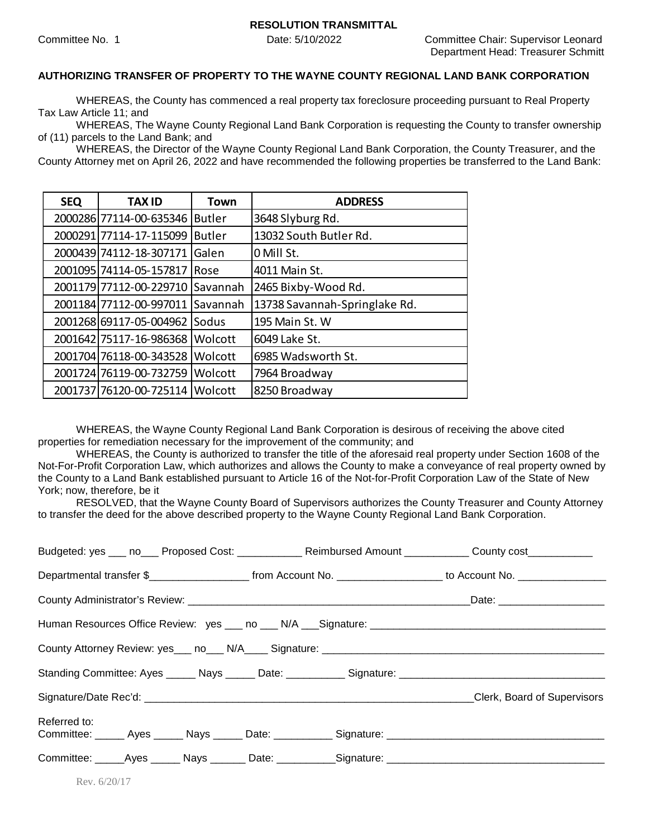### **AUTHORIZING TRANSFER OF PROPERTY TO THE WAYNE COUNTY REGIONAL LAND BANK CORPORATION**

WHEREAS, the County has commenced a real property tax foreclosure proceeding pursuant to Real Property Tax Law Article 11; and

WHEREAS, The Wayne County Regional Land Bank Corporation is requesting the County to transfer ownership of (11) parcels to the Land Bank; and

WHEREAS, the Director of the Wayne County Regional Land Bank Corporation, the County Treasurer, and the County Attorney met on April 26, 2022 and have recommended the following properties be transferred to the Land Bank:

| <b>SEQ</b> | <b>TAX ID</b>                   | <b>Town</b>     | <b>ADDRESS</b>                |
|------------|---------------------------------|-----------------|-------------------------------|
|            | 2000286 77114-00-635346         | <b>Butler</b>   | 3648 Slyburg Rd.              |
|            | 2000291 77114-17-115099         | <b>Butler</b>   | 13032 South Butler Rd.        |
|            | 2000439 74112-18-307171         | Galen           | 0 Mill St.                    |
|            | 2001095 74114-05-157817         | Rose            | 4011 Main St.                 |
|            | 2001179 77112-00-229710         | Savannah        | 2465 Bixby-Wood Rd.           |
|            | 2001184 77112-00-997011         | <b>Savannah</b> | 13738 Savannah-Springlake Rd. |
|            | 2001268 69117-05-004962         | <b>Sodus</b>    | 195 Main St. W                |
|            | 2001642 75117-16-986368         | Wolcott         | 6049 Lake St.                 |
|            | 2001704 76118-00-343528         | Wolcott         | 6985 Wadsworth St.            |
|            | 2001724 76119-00-732759         | Wolcott         | 7964 Broadway                 |
|            | 2001737 76120-00-725114 Wolcott |                 | 8250 Broadway                 |

WHEREAS, the Wayne County Regional Land Bank Corporation is desirous of receiving the above cited properties for remediation necessary for the improvement of the community; and

WHEREAS, the County is authorized to transfer the title of the aforesaid real property under Section 1608 of the Not-For-Profit Corporation Law, which authorizes and allows the County to make a conveyance of real property owned by the County to a Land Bank established pursuant to Article 16 of the Not-for-Profit Corporation Law of the State of New York; now, therefore, be it

RESOLVED, that the Wayne County Board of Supervisors authorizes the County Treasurer and County Attorney to transfer the deed for the above described property to the Wayne County Regional Land Bank Corporation.

| Budgeted: yes ___ no___ Proposed Cost: ____________ Reimbursed Amount __________ County cost___________              |  |                             |
|----------------------------------------------------------------------------------------------------------------------|--|-----------------------------|
|                                                                                                                      |  |                             |
|                                                                                                                      |  |                             |
|                                                                                                                      |  |                             |
|                                                                                                                      |  |                             |
|                                                                                                                      |  |                             |
|                                                                                                                      |  | Clerk, Board of Supervisors |
| Referred to:<br>Committee: ______ Ayes ______ Nays ______ Date: ___________ Signature: _____________________________ |  |                             |
| Committee: _____Ayes ______ Nays _______ Date: ___________Signature: ______________________________                  |  |                             |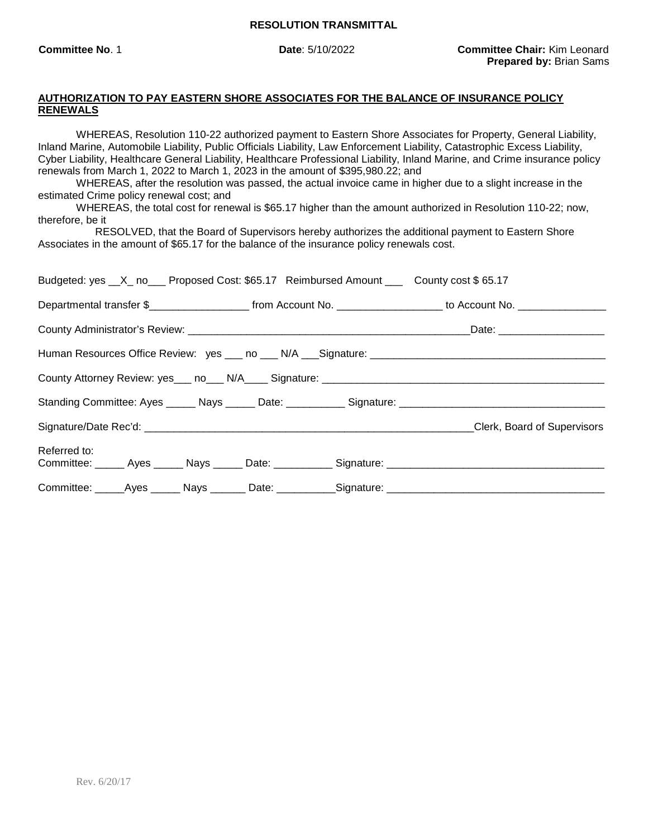## **AUTHORIZATION TO PAY EASTERN SHORE ASSOCIATES FOR THE BALANCE OF INSURANCE POLICY RENEWALS**

WHEREAS, Resolution 110-22 authorized payment to Eastern Shore Associates for Property, General Liability, Inland Marine, Automobile Liability, Public Officials Liability, Law Enforcement Liability, Catastrophic Excess Liability, Cyber Liability, Healthcare General Liability, Healthcare Professional Liability, Inland Marine, and Crime insurance policy renewals from March 1, 2022 to March 1, 2023 in the amount of \$395,980.22; and

WHEREAS, after the resolution was passed, the actual invoice came in higher due to a slight increase in the estimated Crime policy renewal cost; and

WHEREAS, the total cost for renewal is \$65.17 higher than the amount authorized in Resolution 110-22; now, therefore, be it

RESOLVED, that the Board of Supervisors hereby authorizes the additional payment to Eastern Shore Associates in the amount of \$65.17 for the balance of the insurance policy renewals cost.

| Budgeted: yes __X_ no___ Proposed Cost: \$65.17 Reimbursed Amount ___ County cost \$65.17            |                                                                                                                 |                                                                                                      |
|------------------------------------------------------------------------------------------------------|-----------------------------------------------------------------------------------------------------------------|------------------------------------------------------------------------------------------------------|
|                                                                                                      | Departmental transfer \$_______________________ from Account No. __________________ to Account No. ____________ |                                                                                                      |
|                                                                                                      |                                                                                                                 |                                                                                                      |
|                                                                                                      |                                                                                                                 |                                                                                                      |
|                                                                                                      |                                                                                                                 |                                                                                                      |
|                                                                                                      |                                                                                                                 |                                                                                                      |
|                                                                                                      |                                                                                                                 |                                                                                                      |
| Referred to:                                                                                         |                                                                                                                 | Committee: _____ Ayes _____ Nays _____ Date: __________ Signature: _________________________________ |
| Committee: _____Ayes ______ Nays _______ Date: ___________Signature: _______________________________ |                                                                                                                 |                                                                                                      |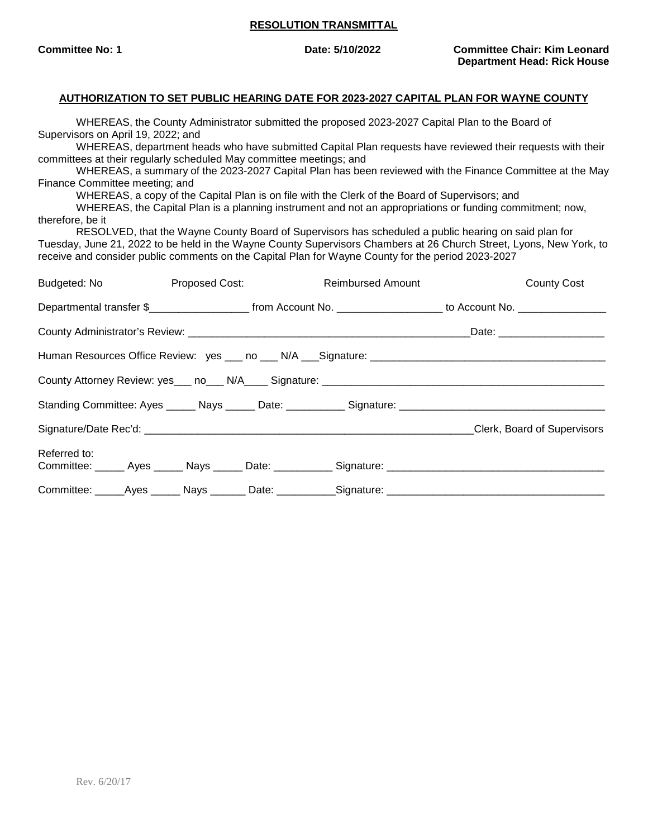**Committee No: 1 Date: 5/10/2022 Committee Chair: Kim Leonard Department Head: Rick House**

#### **AUTHORIZATION TO SET PUBLIC HEARING DATE FOR 2023-2027 CAPITAL PLAN FOR WAYNE COUNTY**

WHEREAS, the County Administrator submitted the proposed 2023-2027 Capital Plan to the Board of Supervisors on April 19, 2022; and

WHEREAS, department heads who have submitted Capital Plan requests have reviewed their requests with their committees at their regularly scheduled May committee meetings; and

WHEREAS, a summary of the 2023-2027 Capital Plan has been reviewed with the Finance Committee at the May Finance Committee meeting; and

WHEREAS, a copy of the Capital Plan is on file with the Clerk of the Board of Supervisors; and

WHEREAS, the Capital Plan is a planning instrument and not an appropriations or funding commitment; now, therefore, be it

RESOLVED, that the Wayne County Board of Supervisors has scheduled a public hearing on said plan for Tuesday, June 21, 2022 to be held in the Wayne County Supervisors Chambers at 26 Church Street, Lyons, New York, to receive and consider public comments on the Capital Plan for Wayne County for the period 2023-2027

| Budgeted: No <b>Example</b> |  | Proposed Cost: New York 1996 | <b>Reimbursed Amount</b>                                                                                                                 | <b>County Cost</b>          |
|-----------------------------|--|------------------------------|------------------------------------------------------------------------------------------------------------------------------------------|-----------------------------|
|                             |  |                              | Departmental transfer \$________________________________from Account No. ____________________________ to Account No. ___________________ |                             |
|                             |  |                              |                                                                                                                                          |                             |
|                             |  |                              |                                                                                                                                          |                             |
|                             |  |                              |                                                                                                                                          |                             |
|                             |  |                              |                                                                                                                                          |                             |
|                             |  |                              |                                                                                                                                          | Clerk, Board of Supervisors |
| Referred to:                |  |                              | Committee: _____ Ayes _____ Nays _____ Date: __________ Signature: ________________________________                                      |                             |
|                             |  |                              | Committee: _____Ayes ______ Nays _______ Date: ___________Signature: _______________________________                                     |                             |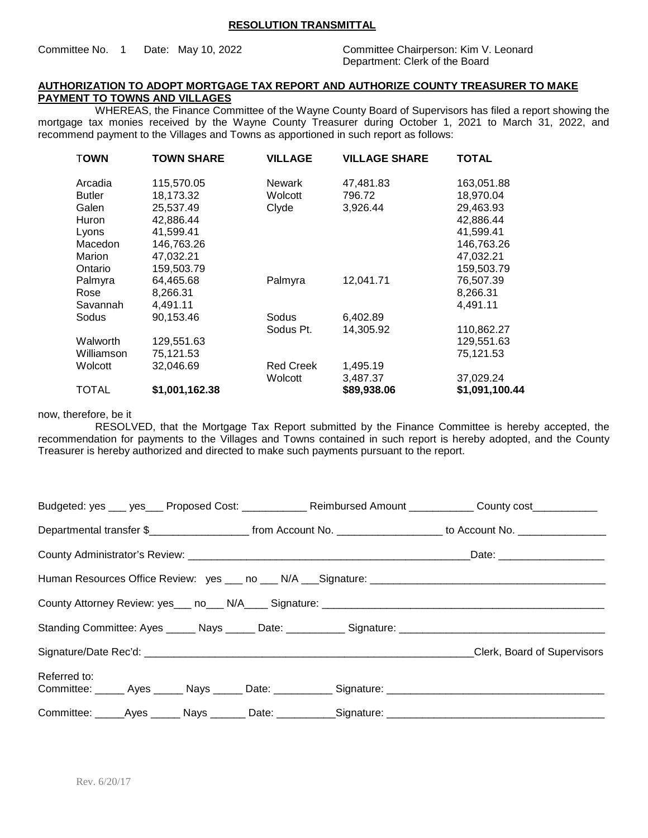#### Committee No. 1 Date: May 10, 2022 Committee Chairperson: Kim V. Leonard

Department: Clerk of the Board

### **AUTHORIZATION TO ADOPT MORTGAGE TAX REPORT AND AUTHORIZE COUNTY TREASURER TO MAKE PAYMENT TO TOWNS AND VILLAGES**

WHEREAS, the Finance Committee of the Wayne County Board of Supervisors has filed a report showing the mortgage tax monies received by the Wayne County Treasurer during October 1, 2021 to March 31, 2022, and recommend payment to the Villages and Towns as apportioned in such report as follows:

| <b>TOWN</b>   | <b>TOWN SHARE</b> | <b>VILLAGE</b>   | <b>VILLAGE SHARE</b> | <b>TOTAL</b>   |
|---------------|-------------------|------------------|----------------------|----------------|
| Arcadia       | 115,570.05        | <b>Newark</b>    | 47,481.83            | 163,051.88     |
| <b>Butler</b> | 18,173.32         | Wolcott          | 796.72               | 18,970.04      |
| Galen         | 25,537.49         | Clyde            | 3,926.44             | 29,463.93      |
| Huron         | 42,886.44         |                  |                      | 42,886.44      |
| Lyons         | 41,599.41         |                  |                      | 41,599.41      |
| Macedon       | 146,763.26        |                  |                      | 146,763.26     |
| Marion        | 47,032.21         |                  |                      | 47,032.21      |
| Ontario       | 159.503.79        |                  |                      | 159,503.79     |
| Palmyra       | 64,465.68         | Palmyra          | 12,041.71            | 76,507.39      |
| Rose          | 8,266.31          |                  |                      | 8,266.31       |
| Savannah      | 4,491.11          |                  |                      | 4,491.11       |
| Sodus         | 90,153.46         | Sodus            | 6,402.89             |                |
|               |                   | Sodus Pt.        | 14,305.92            | 110,862.27     |
| Walworth      | 129,551.63        |                  |                      | 129,551.63     |
| Williamson    | 75,121.53         |                  |                      | 75,121.53      |
| Wolcott       | 32,046.69         | <b>Red Creek</b> | 1,495.19             |                |
|               |                   | Wolcott          | 3,487.37             | 37,029.24      |
| <b>TOTAL</b>  | \$1,001,162.38    |                  | \$89,938.06          | \$1,091,100.44 |

now, therefore, be it

RESOLVED, that the Mortgage Tax Report submitted by the Finance Committee is hereby accepted, the recommendation for payments to the Villages and Towns contained in such report is hereby adopted, and the County Treasurer is hereby authorized and directed to make such payments pursuant to the report.

|                                                                                                                      | Budgeted: yes ___ yes ___ Proposed Cost: ____________ Reimbursed Amount __________ County cost __________                               |
|----------------------------------------------------------------------------------------------------------------------|-----------------------------------------------------------------------------------------------------------------------------------------|
|                                                                                                                      | Departmental transfer \$________________________________from Account No. ____________________________ to Account No. __________________ |
|                                                                                                                      |                                                                                                                                         |
|                                                                                                                      |                                                                                                                                         |
|                                                                                                                      |                                                                                                                                         |
|                                                                                                                      |                                                                                                                                         |
|                                                                                                                      | Clerk, Board of Supervisors                                                                                                             |
| Referred to:<br>Committee: ______ Ayes ______ Nays ______ Date: ___________ Signature: _____________________________ |                                                                                                                                         |
| Committee: _____Ayes ______ Nays _______ Date: ___________Signature: ______________________________                  |                                                                                                                                         |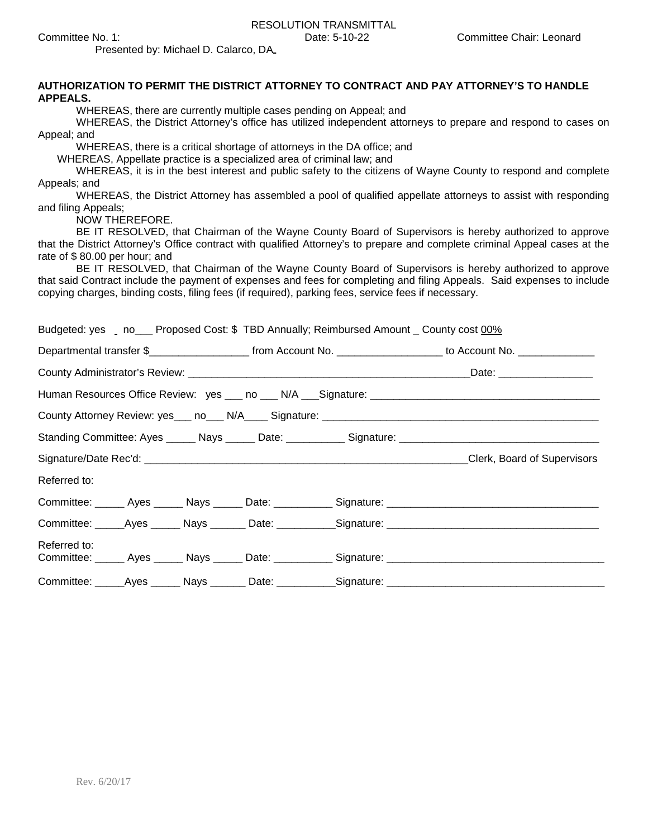Presented by: Michael D. Calarco, DA

| AUTHORIZATION TO PERMIT THE DISTRICT ATTORNEY TO CONTRACT AND PAY ATTORNEY'S TO HANDLE<br><b>APPEALS.</b>                                                                                                                             |  |  |  |  |  |  |  |
|---------------------------------------------------------------------------------------------------------------------------------------------------------------------------------------------------------------------------------------|--|--|--|--|--|--|--|
| WHEREAS, there are currently multiple cases pending on Appeal; and<br>WHEREAS, the District Attorney's office has utilized independent attorneys to prepare and respond to cases on                                                   |  |  |  |  |  |  |  |
| Appeal; and<br>WHEREAS, there is a critical shortage of attorneys in the DA office; and                                                                                                                                               |  |  |  |  |  |  |  |
| WHEREAS, Appellate practice is a specialized area of criminal law; and                                                                                                                                                                |  |  |  |  |  |  |  |
| WHEREAS, it is in the best interest and public safety to the citizens of Wayne County to respond and complete<br>Appeals; and                                                                                                         |  |  |  |  |  |  |  |
| WHEREAS, the District Attorney has assembled a pool of qualified appellate attorneys to assist with responding<br>and filing Appeals;                                                                                                 |  |  |  |  |  |  |  |
| NOW THEREFORE.                                                                                                                                                                                                                        |  |  |  |  |  |  |  |
| BE IT RESOLVED, that Chairman of the Wayne County Board of Supervisors is hereby authorized to approve<br>that the District Attorney's Office contract with qualified Attorney's to prepare and complete criminal Appeal cases at the |  |  |  |  |  |  |  |
| rate of \$80.00 per hour; and                                                                                                                                                                                                         |  |  |  |  |  |  |  |
| BE IT RESOLVED, that Chairman of the Wayne County Board of Supervisors is hereby authorized to approve<br>that said Contract include the payment of expenses and fees for completing and filing Appeals. Said expenses to include     |  |  |  |  |  |  |  |
| copying charges, binding costs, filing fees (if required), parking fees, service fees if necessary.                                                                                                                                   |  |  |  |  |  |  |  |
|                                                                                                                                                                                                                                       |  |  |  |  |  |  |  |
| Budgeted: yes no___Proposed Cost: \$ TBD Annually; Reimbursed Amount _ County cost 00%                                                                                                                                                |  |  |  |  |  |  |  |
| Departmental transfer \$________________________________from Account No. ___________________________ to Account No.                                                                                                                   |  |  |  |  |  |  |  |
|                                                                                                                                                                                                                                       |  |  |  |  |  |  |  |
|                                                                                                                                                                                                                                       |  |  |  |  |  |  |  |
|                                                                                                                                                                                                                                       |  |  |  |  |  |  |  |
| Standing Committee: Ayes _____ Nays _____ Date: __________ Signature: ______________________________                                                                                                                                  |  |  |  |  |  |  |  |
|                                                                                                                                                                                                                                       |  |  |  |  |  |  |  |
| Referred to:                                                                                                                                                                                                                          |  |  |  |  |  |  |  |
|                                                                                                                                                                                                                                       |  |  |  |  |  |  |  |
|                                                                                                                                                                                                                                       |  |  |  |  |  |  |  |
| Referred to:                                                                                                                                                                                                                          |  |  |  |  |  |  |  |
|                                                                                                                                                                                                                                       |  |  |  |  |  |  |  |
|                                                                                                                                                                                                                                       |  |  |  |  |  |  |  |
|                                                                                                                                                                                                                                       |  |  |  |  |  |  |  |
|                                                                                                                                                                                                                                       |  |  |  |  |  |  |  |